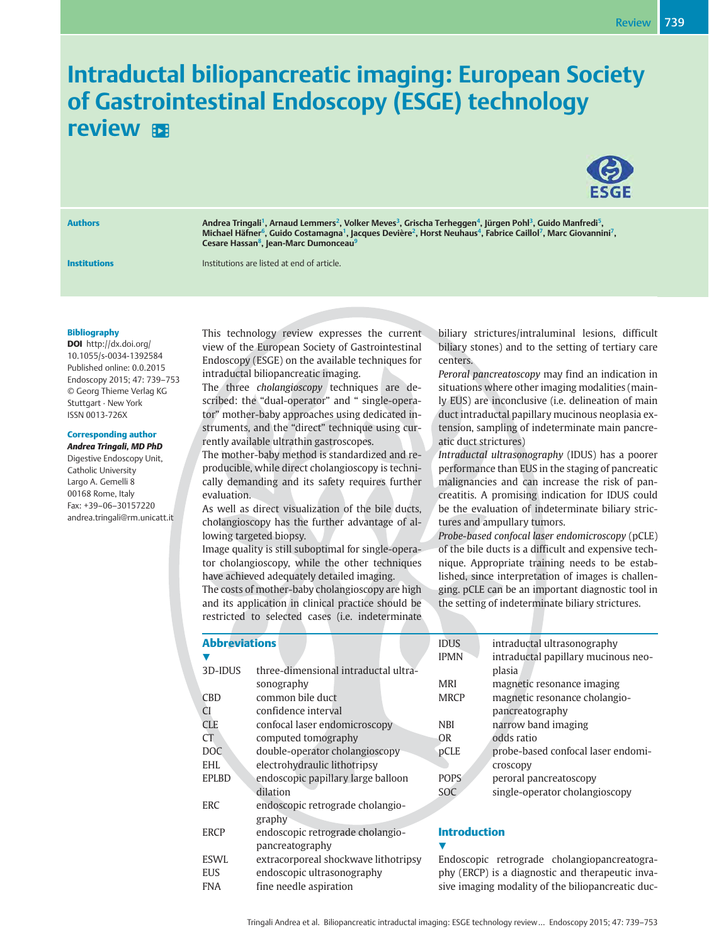# Intraductal biliopancreatic imaging: European Society of Gastrointestinal Endoscopy (ESGE) technology review **B**



Authors **Andrea Tringali<sup>1</sup>, Arnaud Lemmers<sup>2</sup>, Volker Meves<sup>3</sup>, Grischa Terheggen<sup>4</sup>, Jürgen Pohl<sup>3</sup>, Guido Manfredi<sup>5</sup>,** Michael Häfner<sup>6</sup>, Guido Costamagna<sup>1</sup>, Jacques Devière<sup>2</sup>, Horst Neuhaus<sup>4</sup>, Fabrice Caillol<sup>7</sup>, Marc Giovannini<sup>7</sup>, Cesare Hassan<sup>8</sup>, Jean-Marc Dumonceau<sup>9</sup>

**Institutions Institutions Institutions** are listed at end of article.

Bibliography

DOI http://dx.doi.org/ 10.1055/s-0034-1392584 Published online: 0.0.2015 Endoscopy 2015; 47: 739–753 © Georg Thieme Verlag KG Stuttgart · New York ISSN 0013-726X

### Corresponding author

Andrea Tringali, MD PhD Digestive Endoscopy Unit, Catholic University Largo A. Gemelli 8 00168 Rome, Italy Fax: +39–06–30157220 andrea.tringali@rm.unicatt.it This technology review expresses the current view of the European Society of Gastrointestinal Endoscopy (ESGE) on the available techniques for intraductal biliopancreatic imaging.

The three cholangioscopy techniques are described: the "dual-operator" and " single-operator" mother-baby approaches using dedicated instruments, and the "direct" technique using currently available ultrathin gastroscopes.

The mother-baby method is standardized and reproducible, while direct cholangioscopy is technically demanding and its safety requires further evaluation.

As well as direct visualization of the bile ducts, cholangioscopy has the further advantage of allowing targeted biopsy.

Image quality is still suboptimal for single-operator cholangioscopy, while the other techniques have achieved adequately detailed imaging. The costs of mother-baby cholangioscopy are high

and its application in clinical practice should be restricted to selected cases (i.e. indeterminate

|          | biliary strictures/intraluminal lesions, difficult  |  |  |  |  |
|----------|-----------------------------------------------------|--|--|--|--|
|          | biliary stones) and to the setting of tertiary care |  |  |  |  |
| centers. |                                                     |  |  |  |  |

Peroral pancreatoscopy may find an indication in situations where other imaging modalities (mainly EUS) are inconclusive (i.e. delineation of main duct intraductal papillary mucinous neoplasia extension, sampling of indeterminate main pancreatic duct strictures)

Intraductal ultrasonography (IDUS) has a poorer performance than EUS in the staging of pancreatic malignancies and can increase the risk of pancreatitis. A promising indication for IDUS could be the evaluation of indeterminate biliary strictures and ampullary tumors.

Probe-based confocal laser endomicroscopy (pCLE) of the bile ducts is a difficult and expensive technique. Appropriate training needs to be established, since interpretation of images is challenging. pCLE can be an important diagnostic tool in the setting of indeterminate biliary strictures.

| <b>Abbreviations</b> |                                      | <b>IDUS</b> |
|----------------------|--------------------------------------|-------------|
|                      |                                      | <b>IPMN</b> |
| 3D-IDUS              | three-dimensional intraductal ultra- |             |
|                      | sonography                           | <b>MRI</b>  |
| <b>CBD</b>           | common bile duct                     | <b>MRCP</b> |
| <sup>C</sup> I       | confidence interval                  |             |
| <b>CLE</b>           | confocal laser endomicroscopy        | <b>NBI</b>  |
| <b>CT</b>            | computed tomography                  | OR          |
| <b>DOC</b>           | double-operator cholangioscopy       | pCLE        |
| <b>EHL</b>           | electrohydraulic lithotripsy         |             |
| <b>EPLBD</b>         | endoscopic papillary large balloon   | <b>POPS</b> |
|                      | dilation                             | SOC         |
| <b>ERC</b>           | endoscopic retrograde cholangio-     |             |
|                      | graphy                               |             |
| <b>ERCP</b>          | endoscopic retrograde cholangio-     | Intro       |
|                      | pancreatography                      |             |
| <b>ESWL</b>          | extracorporeal shockwave lithotripsy | Endos       |
| <b>EUS</b>           | endoscopic ultrasonography           | phy (E      |

FNA fine needle aspiration

| intraductal ultrasonography                   |
|-----------------------------------------------|
| intraductal papillary mucinous neo-<br>plasia |
| magnetic resonance imaging                    |
| magnetic resonance cholangio-                 |
| pancreatography                               |
| narrow band imaging                           |
| odds ratio                                    |
| probe-based confocal laser endomi-            |
| croscopy                                      |
| peroral pancreatoscopy                        |
| single-operator cholangioscopy                |
|                                               |

# duction

copic retrograde cholangiopancreatogra-RCP) is a diagnostic and therapeutic invasive imaging modality of the biliopancreatic duc-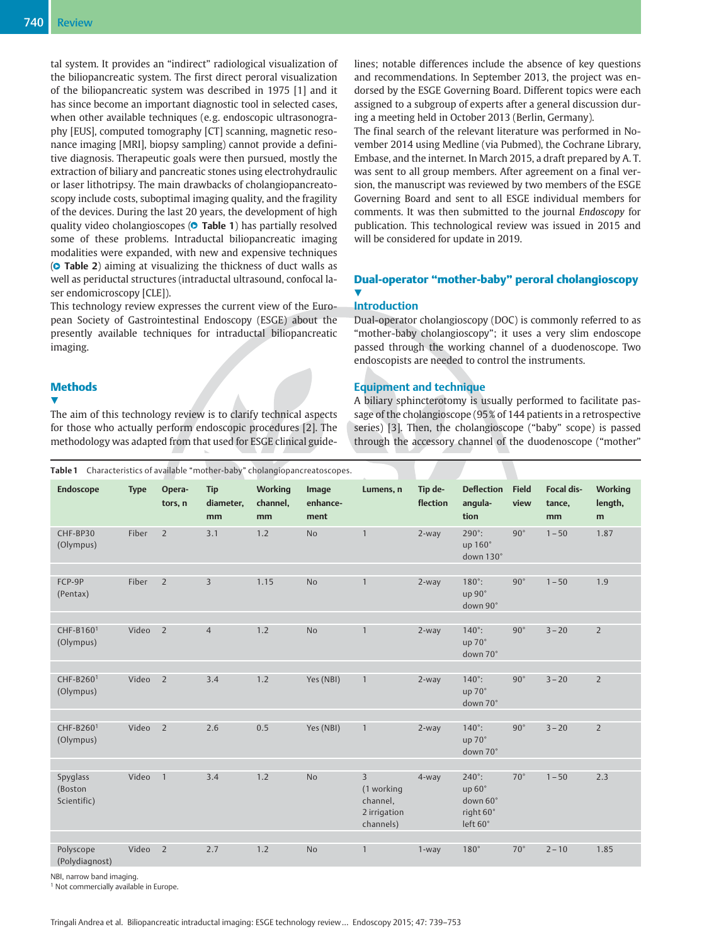tal system. It provides an "indirect" radiological visualization of the biliopancreatic system. The first direct peroral visualization of the biliopancreatic system was described in 1975 [1] and it has since become an important diagnostic tool in selected cases, when other available techniques (e. g. endoscopic ultrasonography [EUS], computed tomography [CT] scanning, magnetic resonance imaging [MRI], biopsy sampling) cannot provide a definitive diagnosis. Therapeutic goals were then pursued, mostly the extraction of biliary and pancreatic stones using electrohydraulic or laser lithotripsy. The main drawbacks of cholangiopancreatoscopy include costs, suboptimal imaging quality, and the fragility of the devices. During the last 20 years, the development of high quality video cholangioscopes (**© Table 1**) has partially resolved some of these problems. Intraductal biliopancreatic imaging modalities were expanded, with new and expensive techniques (● " Table 2) aiming at visualizing the thickness of duct walls as well as periductal structures (intraductal ultrasound, confocal laser endomicroscopy [CLE]).

This technology review expresses the current view of the European Society of Gastrointestinal Endoscopy (ESGE) about the presently available techniques for intraductal biliopancreatic imaging.

# **Methods**

 $\blacktriangledown$ 

The aim of this technology review is to clarify technical aspects for those who actually perform endoscopic procedures [2]. The methodology was adapted from that used for ESGE clinical guidelines; notable differences include the absence of key questions and recommendations. In September 2013, the project was endorsed by the ESGE Governing Board. Different topics were each assigned to a subgroup of experts after a general discussion during a meeting held in October 2013 (Berlin, Germany).

The final search of the relevant literature was performed in November 2014 using Medline (via Pubmed), the Cochrane Library, Embase, and the internet. In March 2015, a draft prepared by A. T. was sent to all group members. After agreement on a final version, the manuscript was reviewed by two members of the ESGE Governing Board and sent to all ESGE individual members for comments. It was then submitted to the journal Endoscopy for publication. This technological review was issued in 2015 and will be considered for update in 2019.

# Dual-operator "mother-baby" peroral cholangioscopy **V**

# Introduction

Dual-operator cholangioscopy (DOC) is commonly referred to as "mother-baby cholangioscopy"; it uses a very slim endoscope passed through the working channel of a duodenoscope. Two endoscopists are needed to control the instruments.

#### Equipment and technique

A biliary sphincterotomy is usually performed to facilitate passage of the cholangioscope (95 % of 144 patients in a retrospective series) [3]. Then, the cholangioscope ("baby" scope) is passed through the accessory channel of the duodenoscope ("mother"

| Table 1 Characteristics of available "mother-baby" cholangiopancreatoscopes. |             |                   |                               |                           |                           |                                                                       |                     |                                                              |                      |                                   |                                |
|------------------------------------------------------------------------------|-------------|-------------------|-------------------------------|---------------------------|---------------------------|-----------------------------------------------------------------------|---------------------|--------------------------------------------------------------|----------------------|-----------------------------------|--------------------------------|
| <b>Endoscope</b>                                                             | <b>Type</b> | Opera-<br>tors, n | <b>Tip</b><br>diameter,<br>mm | Working<br>channel,<br>mm | Image<br>enhance-<br>ment | Lumens, n                                                             | Tip de-<br>flection | <b>Deflection</b><br>angula-<br>tion                         | <b>Field</b><br>view | <b>Focal dis-</b><br>tance,<br>mm | <b>Working</b><br>length,<br>m |
| CHF-BP30<br>(Olympus)                                                        | Fiber       | $\overline{2}$    | 3.1                           | 1.2                       | <b>No</b>                 | $\mathbf{1}$                                                          | 2-way               | $290^\circ$ :<br>up 160°<br>down 130°                        | $90^{\circ}$         | $1 - 50$                          | 1.87                           |
| FCP-9P<br>(Pentax)                                                           | Fiber       | $\overline{2}$    | $\mathbf{3}$                  | 1.15                      | <b>No</b>                 | $\mathbf{1}$                                                          | 2-way               | $180^\circ$ :<br>up 90°<br>down 90°                          | $90^{\circ}$         | $1 - 50$                          | 1.9                            |
| CHF-B160 <sup>1</sup><br>(Olympus)                                           | Video       | $\overline{2}$    | $\overline{4}$                | 1.2                       | <b>No</b>                 | $\mathbf{1}$                                                          | 2-way               | $140^\circ$ :<br>up 70°<br>down 70°                          | $90^{\circ}$         | $3 - 20$                          | $\overline{2}$                 |
| CHF-B2601<br>(Olympus)                                                       | Video       | $\overline{2}$    | 3.4                           | 1.2                       | Yes (NBI)                 | $\mathbf{1}$                                                          | 2-way               | $140^\circ$ :<br>up 70°<br>down 70°                          | $90^{\circ}$         | $3 - 20$                          | $\overline{2}$                 |
| CHF-B260 <sup>1</sup><br>(Olympus)                                           | Video       | $\overline{2}$    | 2.6                           | 0.5                       | Yes (NBI)                 | $\mathbf{1}$                                                          | 2-way               | $140^{\circ}$ :<br>up 70°<br>down 70°                        | $90^{\circ}$         | $3 - 20$                          | $\overline{2}$                 |
| Spyglass<br>(Boston<br>Scientific)                                           | Video       | $\overline{1}$    | 3.4                           | 1.2                       | <b>No</b>                 | $\overline{3}$<br>(1 working<br>channel,<br>2 irrigation<br>channels) | 4-way               | $240^\circ$ :<br>up 60°<br>down 60°<br>right 60°<br>left 60° | $70^{\circ}$         | $1 - 50$                          | 2.3                            |
| Polyscope<br>(Polydiagnost)                                                  | Video       | $\overline{2}$    | 2.7                           | 1.2                       | <b>No</b>                 | $\mathbf{1}$                                                          | 1-way               | $180^\circ$                                                  | $70^{\circ}$         | $2 - 10$                          | 1.85                           |

NBI, narrow band imaging.

<sup>1</sup> Not commercially available in Europe.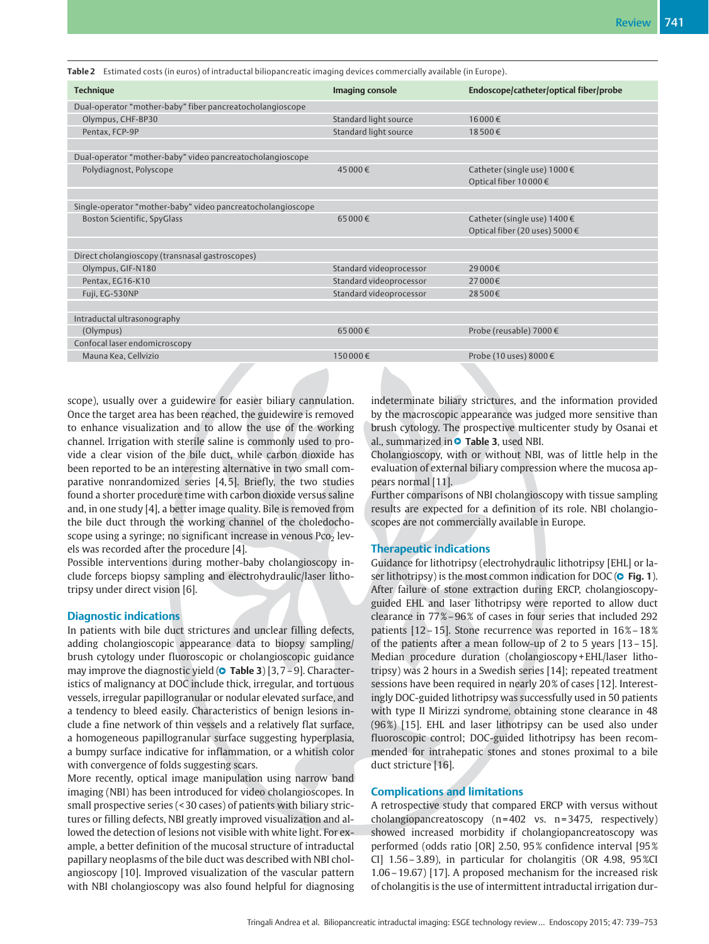| <b>Technique</b>                                            | Imaging console         | Endoscope/catheter/optical fiber/probe |
|-------------------------------------------------------------|-------------------------|----------------------------------------|
| Dual-operator "mother-baby" fiber pancreatocholangioscope   |                         |                                        |
| Olympus, CHF-BP30                                           | Standard light source   | 16 000€                                |
| Pentax, FCP-9P                                              | Standard light source   | 18500€                                 |
|                                                             |                         |                                        |
| Dual-operator "mother-baby" video pancreatocholangioscope   |                         |                                        |
| Polydiagnost, Polyscope                                     | 45 000€                 | Catheter (single use) 1000 €           |
|                                                             |                         | Optical fiber 10000€                   |
|                                                             |                         |                                        |
| Single-operator "mother-baby" video pancreatocholangioscope |                         |                                        |
| Boston Scientific, SpyGlass                                 | 65 000€                 | Catheter (single use) 1400 €           |
|                                                             |                         | Optical fiber (20 uses) 5000 €         |
|                                                             |                         |                                        |
| Direct cholangioscopy (transnasal gastroscopes)             |                         |                                        |
| Olympus, GIF-N180                                           | Standard videoprocessor | 29 000€                                |
| Pentax, EG16-K10                                            | Standard videoprocessor | 27 000€                                |
| Fuji, EG-530NP                                              | Standard videoprocessor | 28500€                                 |
|                                                             |                         |                                        |
| Intraductal ultrasonography                                 |                         |                                        |
| (Olympus)                                                   | 65000€                  | Probe (reusable) 7000 €                |
| Confocal laser endomicroscopy                               |                         |                                        |
| Mauna Kea, Cellvizio                                        | 150000€                 | Probe (10 uses) 8000 €                 |

Table 2 Estimated costs (in euros) of intraductal biliopancreatic imaging devices commercially available (in Europe).

scope), usually over a guidewire for easier biliary cannulation. Once the target area has been reached, the guidewire is removed to enhance visualization and to allow the use of the working channel. Irrigation with sterile saline is commonly used to provide a clear vision of the bile duct, while carbon dioxide has been reported to be an interesting alternative in two small comparative nonrandomized series [4, 5]. Briefly, the two studies found a shorter procedure time with carbon dioxide versus saline and, in one study [4], a better image quality. Bile is removed from the bile duct through the working channel of the choledochoscope using a syringe; no significant increase in venous  $P_{C_2}$  levels was recorded after the procedure [4].

Possible interventions during mother-baby cholangioscopy include forceps biopsy sampling and electrohydraulic/laser lithotripsy under direct vision [6].

#### Diagnostic indications

In patients with bile duct strictures and unclear filling defects, adding cholangioscopic appearance data to biopsy sampling/ brush cytology under fluoroscopic or cholangioscopic guidance may improve the diagnostic yield (**© Table 3**) [3,7-9]. Characteristics of malignancy at DOC include thick, irregular, and tortuous vessels, irregular papillogranular or nodular elevated surface, and a tendency to bleed easily. Characteristics of benign lesions include a fine network of thin vessels and a relatively flat surface, a homogeneous papillogranular surface suggesting hyperplasia, a bumpy surface indicative for inflammation, or a whitish color with convergence of folds suggesting scars.

More recently, optical image manipulation using narrow band imaging (NBI) has been introduced for video cholangioscopes. In small prospective series (< 30 cases) of patients with biliary strictures or filling defects, NBI greatly improved visualization and allowed the detection of lesions not visible with white light. For example, a better definition of the mucosal structure of intraductal papillary neoplasms of the bile duct was described with NBI cholangioscopy [10]. Improved visualization of the vascular pattern with NBI cholangioscopy was also found helpful for diagnosing indeterminate biliary strictures, and the information provided by the macroscopic appearance was judged more sensitive than brush cytology. The prospective multicenter study by Osanai et al., summarized in  $\bullet$  Table 3, used NBI.

Cholangioscopy, with or without NBI, was of little help in the evaluation of external biliary compression where the mucosa appears normal [11].

Further comparisons of NBI cholangioscopy with tissue sampling results are expected for a definition of its role. NBI cholangioscopes are not commercially available in Europe.

#### Therapeutic indications

Guidance for lithotripsy (electrohydraulic lithotripsy [EHL] or laser lithotripsy) is the most common indication for DOC (**O** Fig. 1). After failure of stone extraction during ERCP, cholangioscopyguided EHL and laser lithotripsy were reported to allow duct clearance in 77%-96% of cases in four series that included 292 patients [12–15]. Stone recurrence was reported in 16 %–18 % of the patients after a mean follow-up of 2 to 5 years [13–15]. Median procedure duration (cholangioscopy + EHL/laser lithotripsy) was 2 hours in a Swedish series [14]; repeated treatment sessions have been required in nearly 20 % of cases [12]. Interestingly DOC-guided lithotripsy was successfully used in 50 patients with type II Mirizzi syndrome, obtaining stone clearance in 48 (96 %) [15]. EHL and laser lithotripsy can be used also under fluoroscopic control; DOC-guided lithotripsy has been recommended for intrahepatic stones and stones proximal to a bile duct stricture [16].

#### Complications and limitations

A retrospective study that compared ERCP with versus without cholangiopancreatoscopy (n = 402 vs. n = 3475, respectively) showed increased morbidity if cholangiopancreatoscopy was performed (odds ratio [OR] 2.50, 95 % confidence interval [95 % CI] 1.56–3.89), in particular for cholangitis (OR 4.98, 95 %CI 1.06–19.67) [17]. A proposed mechanism for the increased risk of cholangitis is the use of intermittent intraductal irrigation dur-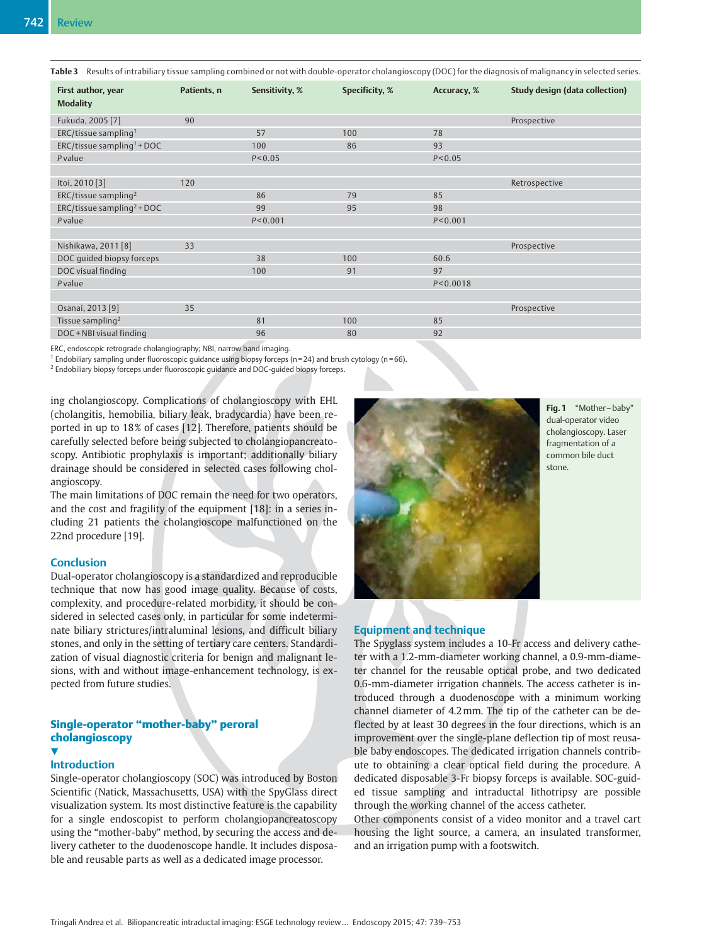Table 3 Results of intrabiliary tissue sampling combined or not with double-operator cholangioscopy (DOC) for the diagnosis of malignancy in selected series.

| First author, year<br><b>Modality</b>     | Patients, n | Sensitivity, % | Specificity, % | Accuracy, % | <b>Study design (data collection)</b> |
|-------------------------------------------|-------------|----------------|----------------|-------------|---------------------------------------|
| Fukuda, 2005 [7]                          | 90          |                |                |             | Prospective                           |
| ERC/tissue sampling <sup>1</sup>          |             | 57             | 100            | 78          |                                       |
| $ERC/t$ issue sampling <sup>1</sup> + DOC |             | 100            | 86             | 93          |                                       |
| Pvalue                                    |             | P < 0.05       |                | P < 0.05    |                                       |
|                                           |             |                |                |             |                                       |
| Itoi, 2010 [3]                            | 120         |                |                |             | Retrospective                         |
| $ERC$ /tissue sampling <sup>2</sup>       |             | 86             | 79             | 85          |                                       |
| ERC/tissue sampling <sup>2</sup> + DOC    |             | 99             | 95             | 98          |                                       |
| P value                                   |             | P < 0.001      |                | P < 0.001   |                                       |
|                                           |             |                |                |             |                                       |
| Nishikawa, 2011 [8]                       | 33          |                |                |             | Prospective                           |
| DOC quided biopsy forceps                 |             | 38             | 100            | 60.6        |                                       |
| DOC visual finding                        |             | 100            | 91             | 97          |                                       |
| Pvalue                                    |             |                |                | P < 0.0018  |                                       |
|                                           |             |                |                |             |                                       |
| Osanai, 2013 [9]                          | 35          |                |                |             | Prospective                           |
| Tissue sampling <sup>2</sup>              |             | 81             | 100            | 85          |                                       |
| DOC + NBI visual finding                  |             | 96             | 80             | 92          |                                       |

ERC, endoscopic retrograde cholangiography; NBI, narrow band imaging.

 $1$  Endobiliary sampling under fluoroscopic guidance using biopsy forceps (n = 24) and brush cytology (n = 66).

<sup>2</sup> Endobiliary biopsy forceps under fluoroscopic guidance and DOC-guided biopsy forceps.

ing cholangioscopy. Complications of cholangioscopy with EHL (cholangitis, hemobilia, biliary leak, bradycardia) have been reported in up to 18% of cases [12]. Therefore, patients should be carefully selected before being subjected to cholangiopancreatoscopy. Antibiotic prophylaxis is important; additionally biliary drainage should be considered in selected cases following cholangioscopy.

The main limitations of DOC remain the need for two operators, and the cost and fragility of the equipment [18]: in a series including 21 patients the cholangioscope malfunctioned on the 22nd procedure [19].

#### **Conclusion**

Dual-operator cholangioscopy is a standardized and reproducible technique that now has good image quality. Because of costs, complexity, and procedure-related morbidity, it should be considered in selected cases only, in particular for some indeterminate biliary strictures/intraluminal lesions, and difficult biliary stones, and only in the setting of tertiary care centers. Standardization of visual diagnostic criteria for benign and malignant lesions, with and without image-enhancement technology, is expected from future studies.

#### Single-operator "mother-baby" peroral cholangioscopy **1**

### Introduction

Single-operator cholangioscopy (SOC) was introduced by Boston Scientific (Natick, Massachusetts, USA) with the SpyGlass direct visualization system. Its most distinctive feature is the capability for a single endoscopist to perform cholangiopancreatoscopy using the "mother-baby" method, by securing the access and delivery catheter to the duodenoscope handle. It includes disposable and reusable parts as well as a dedicated image processor.



Fig. 1 "Mother-baby" dual-operator video cholangioscopy. Laser fragmentation of a common bile duct stone.

# Equipment and technique

The Spyglass system includes a 10-Fr access and delivery catheter with a 1.2-mm-diameter working channel, a 0.9-mm-diameter channel for the reusable optical probe, and two dedicated 0.6-mm-diameter irrigation channels. The access catheter is introduced through a duodenoscope with a minimum working channel diameter of 4.2mm. The tip of the catheter can be deflected by at least 30 degrees in the four directions, which is an improvement over the single-plane deflection tip of most reusable baby endoscopes. The dedicated irrigation channels contribute to obtaining a clear optical field during the procedure. A dedicated disposable 3-Fr biopsy forceps is available. SOC-guided tissue sampling and intraductal lithotripsy are possible through the working channel of the access catheter.

Other components consist of a video monitor and a travel cart housing the light source, a camera, an insulated transformer, and an irrigation pump with a footswitch.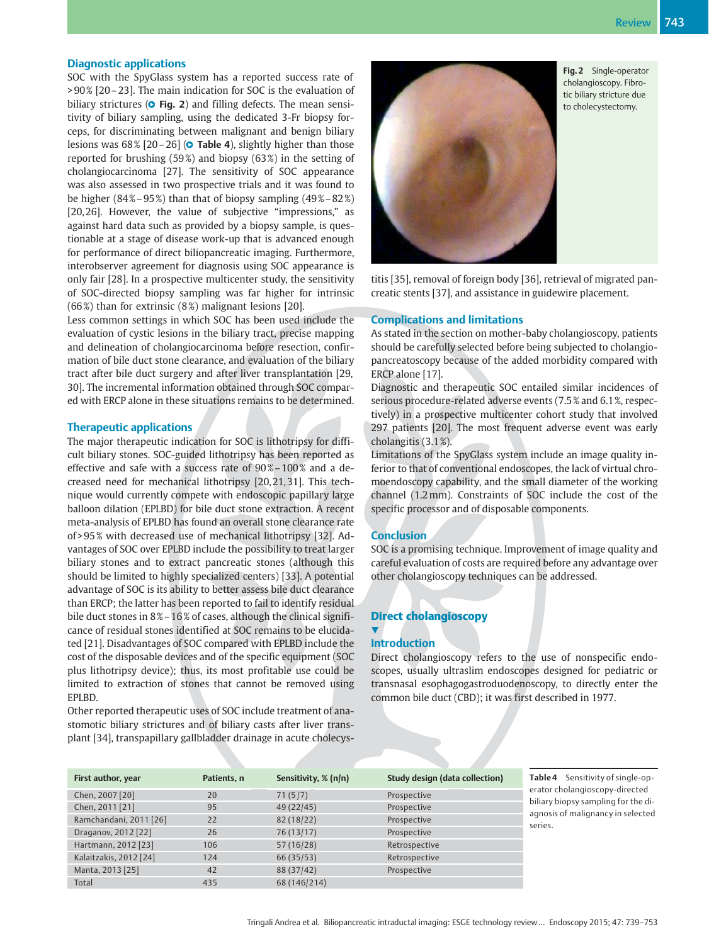#### Diagnostic applications

SOC with the SpyGlass system has a reported success rate of > 90 % [20–23]. The main indication for SOC is the evaluation of biliary strictures (O Fig. 2) and filling defects. The mean sensitivity of biliary sampling, using the dedicated 3-Fr biopsy forceps, for discriminating between malignant and benign biliary lesions was 68% [20–26] (**© Table 4**), slightly higher than those reported for brushing (59%) and biopsy (63%) in the setting of cholangiocarcinoma [27]. The sensitivity of SOC appearance was also assessed in two prospective trials and it was found to be higher  $(84\% - 95\%)$  than that of biopsy sampling  $(49\% - 82\%)$ [20, 26]. However, the value of subjective "impressions," as against hard data such as provided by a biopsy sample, is questionable at a stage of disease work-up that is advanced enough for performance of direct biliopancreatic imaging. Furthermore, interobserver agreement for diagnosis using SOC appearance is only fair [28]. In a prospective multicenter study, the sensitivity of SOC-directed biopsy sampling was far higher for intrinsic (66%) than for extrinsic (8%) malignant lesions [20].

Less common settings in which SOC has been used include the evaluation of cystic lesions in the biliary tract, precise mapping and delineation of cholangiocarcinoma before resection, confirmation of bile duct stone clearance, and evaluation of the biliary tract after bile duct surgery and after liver transplantation [29, 30]. The incremental information obtained through SOC compared with ERCP alone in these situations remains to be determined.

#### Therapeutic applications

The major therapeutic indication for SOC is lithotripsy for difficult biliary stones. SOC-guided lithotripsy has been reported as effective and safe with a success rate of 90%-100% and a decreased need for mechanical lithotripsy [20, 21, 31]. This technique would currently compete with endoscopic papillary large balloon dilation (EPLBD) for bile duct stone extraction. A recent meta-analysis of EPLBD has found an overall stone clearance rate of > 95 % with decreased use of mechanical lithotripsy [32]. Advantages of SOC over EPLBD include the possibility to treat larger biliary stones and to extract pancreatic stones (although this should be limited to highly specialized centers) [33]. A potential advantage of SOC is its ability to better assess bile duct clearance than ERCP; the latter has been reported to fail to identify residual bile duct stones in 8% – 16% of cases, although the clinical significance of residual stones identified at SOC remains to be elucidated [21]. Disadvantages of SOC compared with EPLBD include the cost of the disposable devices and of the specific equipment (SOC plus lithotripsy device); thus, its most profitable use could be limited to extraction of stones that cannot be removed using EPLBD.

Other reported therapeutic uses of SOC include treatment of anastomotic biliary strictures and of biliary casts after liver transplant [34], transpapillary gallbladder drainage in acute cholecys-



Fig. 2 Single-operator cholangioscopy. Fibrotic biliary stricture due to cholecystectomy.

titis [35], removal of foreign body [36], retrieval of migrated pancreatic stents [37], and assistance in guidewire placement.

#### Complications and limitations

As stated in the section on mother-baby cholangioscopy, patients should be carefully selected before being subjected to cholangiopancreatoscopy because of the added morbidity compared with ERCP alone [17].

Diagnostic and therapeutic SOC entailed similar incidences of serious procedure-related adverse events (7.5 % and 6.1 %, respectively) in a prospective multicenter cohort study that involved 297 patients [20]. The most frequent adverse event was early cholangitis (3.1 %).

Limitations of the SpyGlass system include an image quality inferior to that of conventional endoscopes, the lack of virtual chromoendoscopy capability, and the small diameter of the working channel (1.2mm). Constraints of SOC include the cost of the specific processor and of disposable components.

#### **Conclusion**

SOC is a promising technique. Improvement of image quality and careful evaluation of costs are required before any advantage over other cholangioscopy techniques can be addressed.

#### Direct cholangioscopy

#### $\blacktriangledown$ Introduction

Direct cholangioscopy refers to the use of nonspecific endoscopes, usually ultraslim endoscopes designed for pediatric or transnasal esophagogastroduodenoscopy, to directly enter the common bile duct (CBD); it was first described in 1977.

| First author, year     | Patients, n | Sensitivity, % (n/n) | <b>Study design (data collection)</b> |
|------------------------|-------------|----------------------|---------------------------------------|
| Chen, 2007 [20]        | 20          | 71(5/7)              | Prospective                           |
| Chen, 2011 [21]        | 95          | 49 (22/45)           | Prospective                           |
| Ramchandani, 2011 [26] | 22          | 82(18/22)            | Prospective                           |
| Draganov, 2012 [22]    | 26          | 76(13/17)            | Prospective                           |
| Hartmann, 2012 [23]    | 106         | 57(16/28)            | Retrospective                         |
| Kalaitzakis, 2012 [24] | 124         | 66 (35/53)           | Retrospective                         |
| Manta, 2013 [25]       | 42          | 88 (37/42)           | Prospective                           |
| Total                  | 435         | 68 (146/214)         |                                       |

Table 4 Sensitivity of single-operator cholangioscopy-directed biliary biopsy sampling for the diagnosis of malignancy in selected series.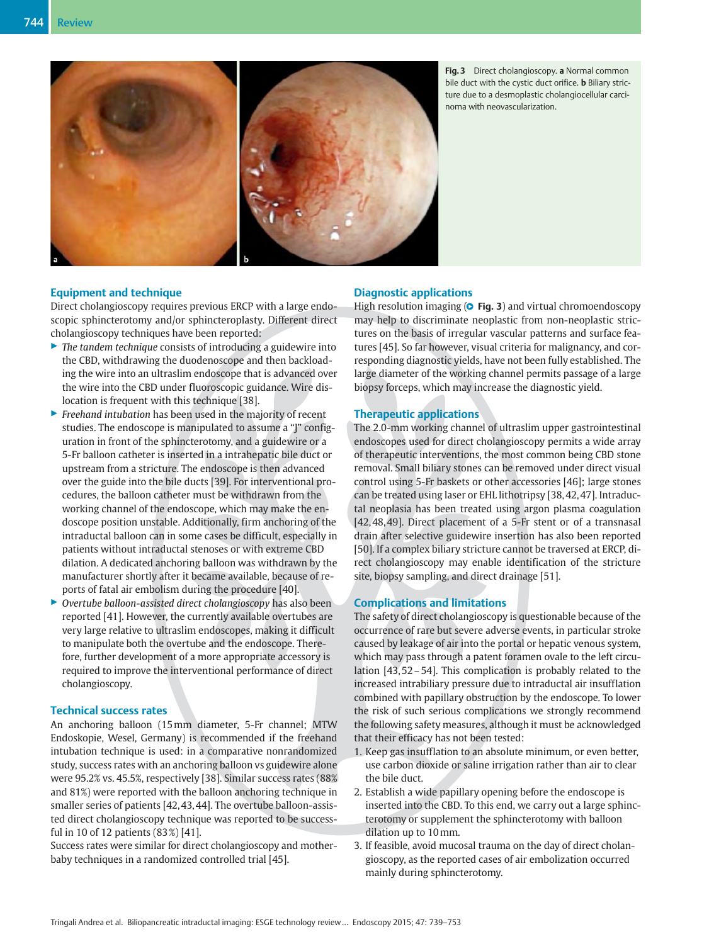

Fig. 3 Direct cholangioscopy. a Normal common bile duct with the cystic duct orifice. **b** Biliary stricture due to a desmoplastic cholangiocellular carcinoma with neovascularization.

#### Equipment and technique

Direct cholangioscopy requires previous ERCP with a large endoscopic sphincterotomy and/or sphincteroplasty. Different direct cholangioscopy techniques have been reported:

- $\blacktriangleright$  The tandem technique consists of introducing a guidewire into the CBD, withdrawing the duodenoscope and then backloading the wire into an ultraslim endoscope that is advanced over the wire into the CBD under fluoroscopic guidance. Wire dislocation is frequent with this technique [38].
- $\blacktriangleright$  Freehand intubation has been used in the majority of recent studies. The endoscope is manipulated to assume a "J" configuration in front of the sphincterotomy, and a guidewire or a 5-Fr balloon catheter is inserted in a intrahepatic bile duct or upstream from a stricture. The endoscope is then advanced over the guide into the bile ducts [39]. For interventional procedures, the balloon catheter must be withdrawn from the working channel of the endoscope, which may make the endoscope position unstable. Additionally, firm anchoring of the intraductal balloon can in some cases be difficult, especially in patients without intraductal stenoses or with extreme CBD dilation. A dedicated anchoring balloon was withdrawn by the manufacturer shortly after it became available, because of reports of fatal air embolism during the procedure [40].
- ▶ Overtube balloon-assisted direct cholangioscopy has also been reported [41]. However, the currently available overtubes are very large relative to ultraslim endoscopes, making it difficult to manipulate both the overtube and the endoscope. Therefore, further development of a more appropriate accessory is required to improve the interventional performance of direct cholangioscopy.

#### Technical success rates

An anchoring balloon (15mm diameter, 5-Fr channel; MTW Endoskopie, Wesel, Germany) is recommended if the freehand intubation technique is used: in a comparative nonrandomized study, success rates with an anchoring balloon vs guidewire alone were 95.2% vs. 45.5%, respectively [38]. Similar success rates (88% and 81%) were reported with the balloon anchoring technique in smaller series of patients [42, 43, 44]. The overtube balloon-assisted direct cholangioscopy technique was reported to be successful in 10 of 12 patients (83 %) [41].

Success rates were similar for direct cholangioscopy and motherbaby techniques in a randomized controlled trial [45].

# Diagnostic applications

High resolution imaging (**O Fig. 3**) and virtual chromoendoscopy may help to discriminate neoplastic from non-neoplastic strictures on the basis of irregular vascular patterns and surface features [45]. So far however, visual criteria for malignancy, and corresponding diagnostic yields, have not been fully established. The large diameter of the working channel permits passage of a large biopsy forceps, which may increase the diagnostic yield.

#### Therapeutic applications

The 2.0-mm working channel of ultraslim upper gastrointestinal endoscopes used for direct cholangioscopy permits a wide array of therapeutic interventions, the most common being CBD stone removal. Small biliary stones can be removed under direct visual control using 5-Fr baskets or other accessories [46]; large stones can be treated using laser or EHL lithotripsy [38, 42, 47]. Intraductal neoplasia has been treated using argon plasma coagulation [42, 48, 49]. Direct placement of a 5-Fr stent or of a transnasal drain after selective guidewire insertion has also been reported [50]. If a complex biliary stricture cannot be traversed at ERCP, direct cholangioscopy may enable identification of the stricture site, biopsy sampling, and direct drainage [51].

#### Complications and limitations

The safety of direct cholangioscopy is questionable because of the occurrence of rare but severe adverse events, in particular stroke caused by leakage of air into the portal or hepatic venous system, which may pass through a patent foramen ovale to the left circulation [43, 52–54]. This complication is probably related to the increased intrabiliary pressure due to intraductal air insufflation combined with papillary obstruction by the endoscope. To lower the risk of such serious complications we strongly recommend the following safety measures, although it must be acknowledged that their efficacy has not been tested:

- 1. Keep gas insufflation to an absolute minimum, or even better, use carbon dioxide or saline irrigation rather than air to clear the bile duct.
- 2. Establish a wide papillary opening before the endoscope is inserted into the CBD. To this end, we carry out a large sphincterotomy or supplement the sphincterotomy with balloon dilation up to 10mm.
- 3. If feasible, avoid mucosal trauma on the day of direct cholangioscopy, as the reported cases of air embolization occurred mainly during sphincterotomy.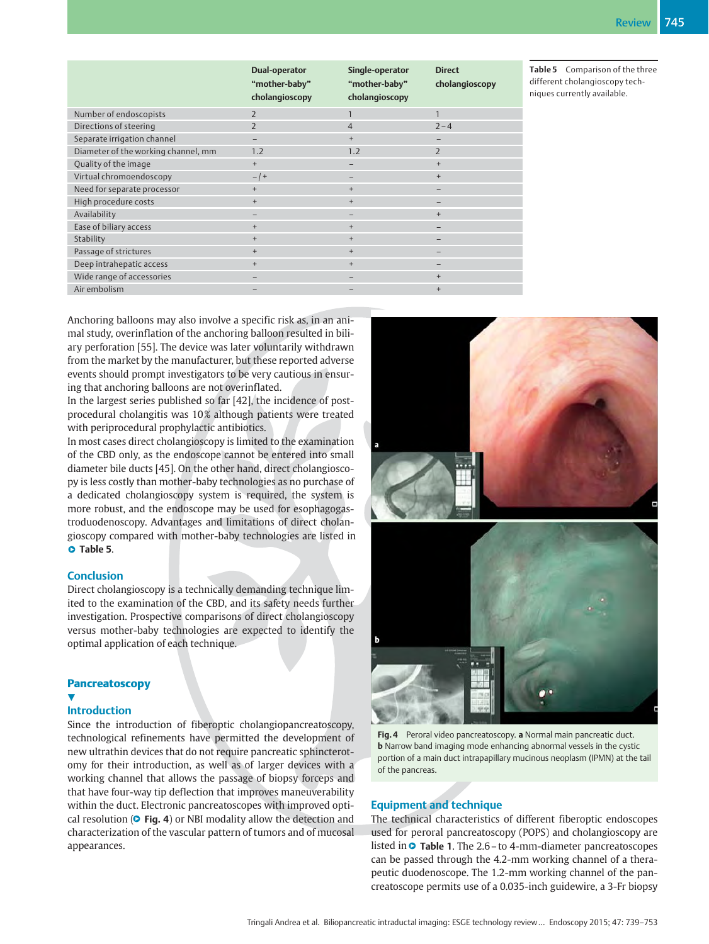|                                     | Dual-operator<br>"mother-baby"<br>cholangioscopy | Single-operator<br>"mother-baby"<br>cholangioscopy | <b>Direct</b><br>cholangioscopy |
|-------------------------------------|--------------------------------------------------|----------------------------------------------------|---------------------------------|
| Number of endoscopists              | $\overline{z}$                                   | $\mathbf{1}$                                       | $\mathbf{1}$                    |
| Directions of steering              | $\mathcal{P}$                                    | $\overline{4}$                                     | $2 - 4$                         |
| Separate irrigation channel         |                                                  | $+$                                                |                                 |
| Diameter of the working channel, mm | 1.2                                              | 1.2                                                | $\overline{2}$                  |
| Quality of the image                | $+$                                              | -                                                  | $^{+}$                          |
| Virtual chromoendoscopy             | $-$   +                                          | -                                                  | $^{+}$                          |
| Need for separate processor         | $^{+}$                                           | $+$                                                |                                 |
| High procedure costs                | $^{+}$                                           | $+$                                                |                                 |
| Availability                        | $\overline{\phantom{0}}$                         | -                                                  | $+$                             |
| Ease of biliary access              | $^{+}$                                           | $+$                                                | -                               |
| Stability                           | $+$                                              | $+$                                                |                                 |
| Passage of strictures               | $\ddot{}$                                        | $+$                                                |                                 |
| Deep intrahepatic access            | $\ddot{}$                                        | $+$                                                |                                 |
| Wide range of accessories           |                                                  |                                                    | $+$                             |
| Air embolism                        |                                                  |                                                    | $^{+}$                          |

Table 5 Comparison of the three different cholangioscopy techniques currently available.

Anchoring balloons may also involve a specific risk as, in an animal study, overinflation of the anchoring balloon resulted in biliary perforation [55]. The device was later voluntarily withdrawn from the market by the manufacturer, but these reported adverse events should prompt investigators to be very cautious in ensuring that anchoring balloons are not overinflated.

In the largest series published so far [42], the incidence of postprocedural cholangitis was 10 % although patients were treated with periprocedural prophylactic antibiotics.

In most cases direct cholangioscopy is limited to the examination of the CBD only, as the endoscope cannot be entered into small diameter bile ducts [45]. On the other hand, direct cholangioscopy is less costly than mother-baby technologies as no purchase of a dedicated cholangioscopy system is required, the system is more robust, and the endoscope may be used for esophagogastroduodenoscopy. Advantages and limitations of direct cholangioscopy compared with mother-baby technologies are listed in **O** Table 5.

#### **Conclusion**

Direct cholangioscopy is a technically demanding technique limited to the examination of the CBD, and its safety needs further investigation. Prospective comparisons of direct cholangioscopy versus mother-baby technologies are expected to identify the optimal application of each technique.

# **Pancreatoscopy**

#### v.

# Introduction

Since the introduction of fiberoptic cholangiopancreatoscopy, technological refinements have permitted the development of new ultrathin devices that do not require pancreatic sphincterotomy for their introduction, as well as of larger devices with a working channel that allows the passage of biopsy forceps and that have four-way tip deflection that improves maneuverability within the duct. Electronic pancreatoscopes with improved optical resolution (**O** Fig. 4) or NBI modality allow the detection and characterization of the vascular pattern of tumors and of mucosal appearances.





#### Equipment and technique

The technical characteristics of different fiberoptic endoscopes used for peroral pancreatoscopy (POPS) and cholangioscopy are listed in  $\circ$  Table 1. The 2.6 – to 4-mm-diameter pancreatoscopes can be passed through the 4.2-mm working channel of a therapeutic duodenoscope. The 1.2-mm working channel of the pancreatoscope permits use of a 0.035-inch guidewire, a 3-Fr biopsy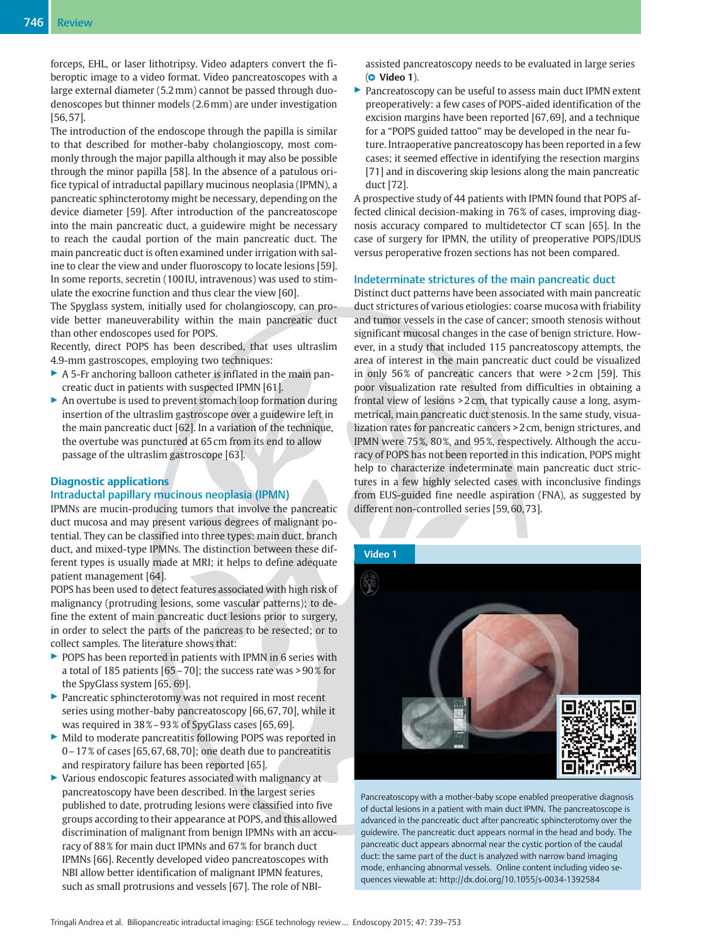forceps, EHL, or laser lithotripsy. Video adapters convert the fiberoptic image to a video format. Video pancreatoscopes with a large external diameter (5.2mm) cannot be passed through duodenoscopes but thinner models (2.6mm) are under investigation [56, 57].

The introduction of the endoscope through the papilla is similar to that described for mother-baby cholangioscopy, most commonly through the major papilla although it may also be possible through the minor papilla [58]. In the absence of a patulous orifice typical of intraductal papillary mucinous neoplasia (IPMN), a pancreatic sphincterotomy might be necessary, depending on the device diameter [59]. After introduction of the pancreatoscope into the main pancreatic duct, a guidewire might be necessary to reach the caudal portion of the main pancreatic duct. The main pancreatic duct is often examined under irrigation with saline to clear the view and under fluoroscopy to locate lesions [59]. In some reports, secretin (100 IU, intravenous) was used to stimulate the exocrine function and thus clear the view [60].

The Spyglass system, initially used for cholangioscopy, can provide better maneuverability within the main pancreatic duct than other endoscopes used for POPS.

Recently, direct POPS has been described, that uses ultraslim 4.9-mm gastroscopes, employing two techniques:

- ▶ A 5-Fr anchoring balloon catheter is inflated in the main pancreatic duct in patients with suspected IPMN [61].
- ▶ An overtube is used to prevent stomach loop formation during insertion of the ultraslim gastroscope over a guidewire left in the main pancreatic duct [62]. In a variation of the technique, the overtube was punctured at 65 cm from its end to allow passage of the ultraslim gastroscope [63].

#### Diagnostic applications

#### Intraductal papillary mucinous neoplasia (IPMN)

IPMNs are mucin-producing tumors that involve the pancreatic duct mucosa and may present various degrees of malignant potential. They can be classified into three types: main duct, branch duct, and mixed-type IPMNs. The distinction between these different types is usually made at MRI; it helps to define adequate patient management [64].

POPS has been used to detect features associated with high risk of malignancy (protruding lesions, some vascular patterns); to define the extent of main pancreatic duct lesions prior to surgery, in order to select the parts of the pancreas to be resected; or to collect samples. The literature shows that:

- ▶ POPS has been reported in patients with IPMN in 6 series with a total of 185 patients [65–70]; the success rate was > 90 % for the SpyGlass system [65, 69].
- ▶ Pancreatic sphincterotomy was not required in most recent series using mother-baby pancreatoscopy [66, 67, 70], while it was required in 38 %–93 % of SpyGlass cases [65, 69].
- Mild to moderate pancreatitis following POPS was reported in  $0-17\%$  of cases [65, 67, 68, 70]; one death due to pancreatitis and respiratory failure has been reported [65].
- ▶ Various endoscopic features associated with malignancy at pancreatoscopy have been described. In the largest series published to date, protruding lesions were classified into five groups according to their appearance at POPS, and this allowed discrimination of malignant from benign IPMNs with an accuracy of 88 % for main duct IPMNs and 67 % for branch duct IPMNs [66]. Recently developed video pancreatoscopes with NBI allow better identification of malignant IPMN features, such as small protrusions and vessels [67]. The role of NBI-

assisted pancreatoscopy needs to be evaluated in large series (**O** Video 1).

▶ Pancreatoscopy can be useful to assess main duct IPMN extent preoperatively: a few cases of POPS-aided identification of the excision margins have been reported [67, 69], and a technique for a "POPS guided tattoo" may be developed in the near future. Intraoperative pancreatoscopy has been reported in a few cases; it seemed effective in identifying the resection margins [71] and in discovering skip lesions along the main pancreatic duct [72].

A prospective study of 44 patients with IPMN found that POPS affected clinical decision-making in 76% of cases, improving diagnosis accuracy compared to multidetector CT scan [65]. In the case of surgery for IPMN, the utility of preoperative POPS/IDUS versus peroperative frozen sections has not been compared.

#### Indeterminate strictures of the main pancreatic duct

Distinct duct patterns have been associated with main pancreatic duct strictures of various etiologies: coarse mucosa with friability and tumor vessels in the case of cancer; smooth stenosis without significant mucosal changes in the case of benign stricture. However, in a study that included 115 pancreatoscopy attempts, the area of interest in the main pancreatic duct could be visualized in only 56% of pancreatic cancers that were  $>2$  cm [59]. This poor visualization rate resulted from difficulties in obtaining a frontal view of lesions > 2 cm, that typically cause a long, asymmetrical, main pancreatic duct stenosis. In the same study, visualization rates for pancreatic cancers > 2 cm, benign strictures, and IPMN were 75 %, 80 %, and 95 %, respectively. Although the accuracy of POPS has not been reported in this indication, POPS might help to characterize indeterminate main pancreatic duct strictures in a few highly selected cases with inconclusive findings from EUS-guided fine needle aspiration (FNA), as suggested by different non-controlled series [59, 60, 73].





Pancreatoscopy with a mother-baby scope enabled preoperative diagnosis of ductal lesions in a patient with main duct IPMN. The pancreatoscope is advanced in the pancreatic duct after pancreatic sphincterotomy over the guidewire. The pancreatic duct appears normal in the head and body. The pancreatic duct appears abnormal near the cystic portion of the caudal duct: the same part of the duct is analyzed with narrow band imaging mode, enhancing abnormal vessels. Online content including video sequences viewable at: http://dx.doi.org/10.1055/s-0034-1392584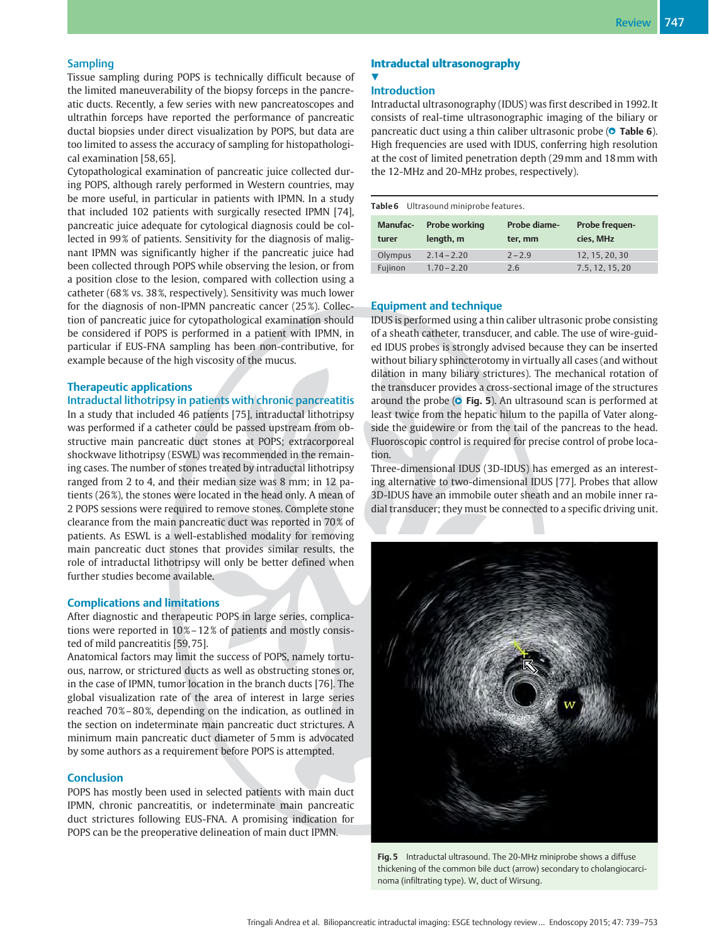#### **Sampling**

Tissue sampling during POPS is technically difficult because of the limited maneuverability of the biopsy forceps in the pancreatic ducts. Recently, a few series with new pancreatoscopes and ultrathin forceps have reported the performance of pancreatic ductal biopsies under direct visualization by POPS, but data are too limited to assess the accuracy of sampling for histopathological examination [58, 65].

Cytopathological examination of pancreatic juice collected during POPS, although rarely performed in Western countries, may be more useful, in particular in patients with IPMN. In a study that included 102 patients with surgically resected IPMN [74], pancreatic juice adequate for cytological diagnosis could be collected in 99 % of patients. Sensitivity for the diagnosis of malignant IPMN was significantly higher if the pancreatic juice had been collected through POPS while observing the lesion, or from a position close to the lesion, compared with collection using a catheter (68 % vs. 38 %, respectively). Sensitivity was much lower for the diagnosis of non-IPMN pancreatic cancer (25 %). Collection of pancreatic juice for cytopathological examination should be considered if POPS is performed in a patient with IPMN, in particular if EUS-FNA sampling has been non-contributive, for example because of the high viscosity of the mucus.

#### Therapeutic applications

#### Intraductal lithotripsy in patients with chronic pancreatitis

In a study that included 46 patients [75], intraductal lithotripsy was performed if a catheter could be passed upstream from obstructive main pancreatic duct stones at POPS; extracorporeal shockwave lithotripsy (ESWL) was recommended in the remaining cases. The number of stones treated by intraductal lithotripsy ranged from 2 to 4, and their median size was 8 mm; in 12 patients (26 %), the stones were located in the head only. A mean of 2 POPS sessions were required to remove stones. Complete stone clearance from the main pancreatic duct was reported in 70% of patients. As ESWL is a well-established modality for removing main pancreatic duct stones that provides similar results, the role of intraductal lithotripsy will only be better defined when further studies become available.

#### Complications and limitations

After diagnostic and therapeutic POPS in large series, complications were reported in 10%-12% of patients and mostly consisted of mild pancreatitis [59, 75].

Anatomical factors may limit the success of POPS, namely tortuous, narrow, or strictured ducts as well as obstructing stones or, in the case of IPMN, tumor location in the branch ducts [76]. The global visualization rate of the area of interest in large series reached 70%–80%, depending on the indication, as outlined in the section on indeterminate main pancreatic duct strictures. A minimum main pancreatic duct diameter of 5mm is advocated by some authors as a requirement before POPS is attempted.

#### **Conclusion**

POPS has mostly been used in selected patients with main duct IPMN, chronic pancreatitis, or indeterminate main pancreatic duct strictures following EUS-FNA. A promising indication for POPS can be the preoperative delineation of main duct IPMN.

#### Intraductal ultrasonography <u>V</u>

#### **Introduction**

Intraductal ultrasonography (IDUS) was first described in 1992. It consists of real-time ultrasonographic imaging of the biliary or pancreatic duct using a thin caliber ultrasonic probe (**O** Table 6). High frequencies are used with IDUS, conferring high resolution at the cost of limited penetration depth (29mm and 18mm with the 12-MHz and 20-MHz probes, respectively).

| Table 6 Ultrasound miniprobe features. |  |
|----------------------------------------|--|
|----------------------------------------|--|

| Manufac-<br>turer | <b>Probe working</b><br>length, m | Probe diame-<br>ter, mm | Probe frequen-<br>cies. MHz |
|-------------------|-----------------------------------|-------------------------|-----------------------------|
| Olympus           | $2.14 - 2.20$                     | $7 - 7.9$               | 12, 15, 20, 30              |
| Fujinon           | $1.70 - 2.20$                     | 2.6                     | 7.5.12.15.20                |

#### Equipment and technique

IDUS is performed using a thin caliber ultrasonic probe consisting of a sheath catheter, transducer, and cable. The use of wire-guided IDUS probes is strongly advised because they can be inserted without biliary sphincterotomy in virtually all cases (and without dilation in many biliary strictures). The mechanical rotation of the transducer provides a cross-sectional image of the structures around the probe  $(\circ$  Fig. 5). An ultrasound scan is performed at least twice from the hepatic hilum to the papilla of Vater alongside the guidewire or from the tail of the pancreas to the head. Fluoroscopic control is required for precise control of probe location.

Three-dimensional IDUS (3D-IDUS) has emerged as an interesting alternative to two-dimensional IDUS [77]. Probes that allow 3D-IDUS have an immobile outer sheath and an mobile inner radial transducer; they must be connected to a specific driving unit.



Fig. 5 Intraductal ultrasound. The 20-MHz miniprobe shows a diffuse thickening of the common bile duct (arrow) secondary to cholangiocarcinoma (infiltrating type). W, duct of Wirsung.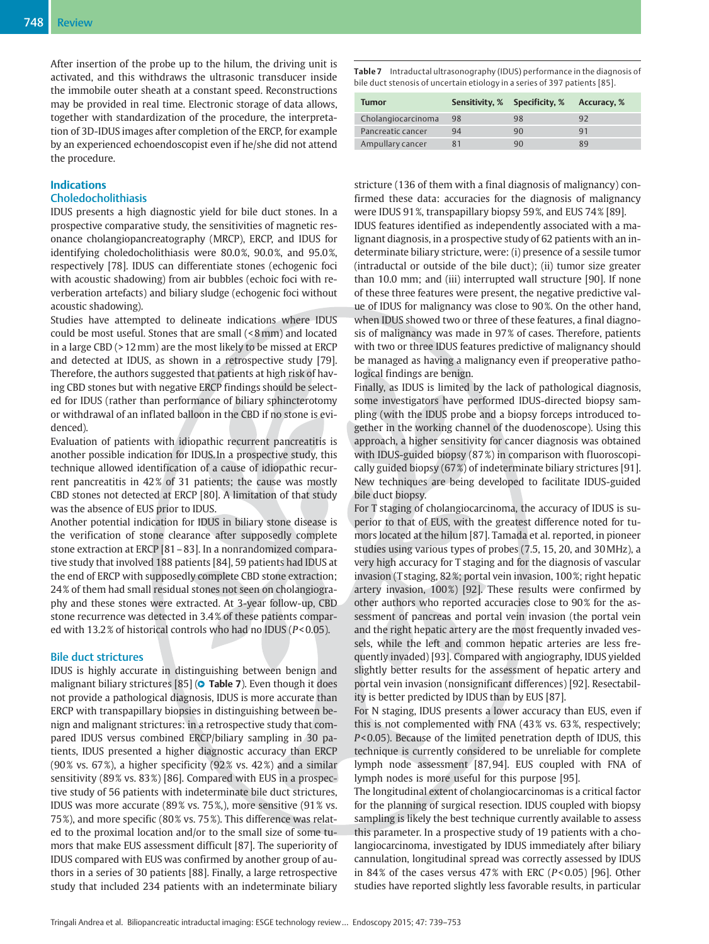After insertion of the probe up to the hilum, the driving unit is activated, and this withdraws the ultrasonic transducer inside the immobile outer sheath at a constant speed. Reconstructions may be provided in real time. Electronic storage of data allows, together with standardization of the procedure, the interpretation of 3D-IDUS images after completion of the ERCP, for example by an experienced echoendoscopist even if he/she did not attend the procedure.

# Indications

# Choledocholithiasis

IDUS presents a high diagnostic yield for bile duct stones. In a prospective comparative study, the sensitivities of magnetic resonance cholangiopancreatography (MRCP), ERCP, and IDUS for identifying choledocholithiasis were 80.0%, 90.0%, and 95.0%, respectively [78]. IDUS can differentiate stones (echogenic foci with acoustic shadowing) from air bubbles (echoic foci with reverberation artefacts) and biliary sludge (echogenic foci without acoustic shadowing).

Studies have attempted to delineate indications where IDUS could be most useful. Stones that are small (< 8mm) and located in a large CBD (> 12mm) are the most likely to be missed at ERCP and detected at IDUS, as shown in a retrospective study [79]. Therefore, the authors suggested that patients at high risk of having CBD stones but with negative ERCP findings should be selected for IDUS (rather than performance of biliary sphincterotomy or withdrawal of an inflated balloon in the CBD if no stone is evidenced).

Evaluation of patients with idiopathic recurrent pancreatitis is another possible indication for IDUS. In a prospective study, this technique allowed identification of a cause of idiopathic recurrent pancreatitis in 42% of 31 patients; the cause was mostly CBD stones not detected at ERCP [80]. A limitation of that study was the absence of EUS prior to IDUS.

Another potential indication for IDUS in biliary stone disease is the verification of stone clearance after supposedly complete stone extraction at ERCP [81–83]. In a nonrandomized comparative study that involved 188 patients [84], 59 patients had IDUS at the end of ERCP with supposedly complete CBD stone extraction; 24 % of them had small residual stones not seen on cholangiography and these stones were extracted. At 3-year follow-up, CBD stone recurrence was detected in 3.4 % of these patients compared with 13.2 % of historical controls who had no IDUS (P< 0.05).

#### Bile duct strictures

IDUS is highly accurate in distinguishing between benign and malignant biliary strictures [85] (**O Table 7**). Even though it does not provide a pathological diagnosis, IDUS is more accurate than ERCP with transpapillary biopsies in distinguishing between benign and malignant strictures: in a retrospective study that compared IDUS versus combined ERCP/biliary sampling in 30 patients, IDUS presented a higher diagnostic accuracy than ERCP (90% vs. 67%), a higher specificity (92% vs. 42%) and a similar sensitivity (89% vs. 83%) [86]. Compared with EUS in a prospective study of 56 patients with indeterminate bile duct strictures, IDUS was more accurate (89 % vs. 75 %,), more sensitive (91 % vs. 75%), and more specific (80% vs. 75%). This difference was related to the proximal location and/or to the small size of some tumors that make EUS assessment difficult [87]. The superiority of IDUS compared with EUS was confirmed by another group of authors in a series of 30 patients [88]. Finally, a large retrospective study that included 234 patients with an indeterminate biliary

| Tumor              |    | Sensitivity, % Specificity, % | Accuracy, % |
|--------------------|----|-------------------------------|-------------|
| Cholangiocarcinoma | 98 | 98                            | 92          |
| Pancreatic cancer  | 94 | 90                            | ٩1          |
| Ampullary cancer   | 81 |                               | 89          |

stricture (136 of them with a final diagnosis of malignancy) confirmed these data: accuracies for the diagnosis of malignancy were IDUS 91 %, transpapillary biopsy 59 %, and EUS 74 % [89].

IDUS features identified as independently associated with a malignant diagnosis, in a prospective study of 62 patients with an indeterminate biliary stricture, were: (i) presence of a sessile tumor (intraductal or outside of the bile duct); (ii) tumor size greater than 10.0 mm; and (iii) interrupted wall structure [90]. If none of these three features were present, the negative predictive value of IDUS for malignancy was close to 90 %. On the other hand, when IDUS showed two or three of these features, a final diagnosis of malignancy was made in 97 % of cases. Therefore, patients with two or three IDUS features predictive of malignancy should be managed as having a malignancy even if preoperative pathological findings are benign.

Finally, as IDUS is limited by the lack of pathological diagnosis, some investigators have performed IDUS-directed biopsy sampling (with the IDUS probe and a biopsy forceps introduced together in the working channel of the duodenoscope). Using this approach, a higher sensitivity for cancer diagnosis was obtained with IDUS-guided biopsy (87%) in comparison with fluoroscopically guided biopsy (67 %) of indeterminate biliary strictures [91]. New techniques are being developed to facilitate IDUS-guided bile duct biopsy.

For T staging of cholangiocarcinoma, the accuracy of IDUS is superior to that of EUS, with the greatest difference noted for tumors located at the hilum [87]. Tamada et al. reported, in pioneer studies using various types of probes (7.5, 15, 20, and 30MHz), a very high accuracy for T staging and for the diagnosis of vascular invasion (T staging, 82 %; portal vein invasion, 100 %; right hepatic artery invasion, 100%) [92]. These results were confirmed by other authors who reported accuracies close to 90 % for the assessment of pancreas and portal vein invasion (the portal vein and the right hepatic artery are the most frequently invaded vessels, while the left and common hepatic arteries are less frequently invaded) [93]. Compared with angiography, IDUS yielded slightly better results for the assessment of hepatic artery and portal vein invasion (nonsignificant differences) [92]. Resectability is better predicted by IDUS than by EUS [87].

For N staging, IDUS presents a lower accuracy than EUS, even if this is not complemented with FNA (43 % vs. 63 %, respectively; P< 0.05). Because of the limited penetration depth of IDUS, this technique is currently considered to be unreliable for complete lymph node assessment [87, 94]. EUS coupled with FNA of lymph nodes is more useful for this purpose [95].

The longitudinal extent of cholangiocarcinomas is a critical factor for the planning of surgical resection. IDUS coupled with biopsy sampling is likely the best technique currently available to assess this parameter. In a prospective study of 19 patients with a cholangiocarcinoma, investigated by IDUS immediately after biliary cannulation, longitudinal spread was correctly assessed by IDUS in 84% of the cases versus 47% with ERC ( $P < 0.05$ ) [96]. Other studies have reported slightly less favorable results, in particular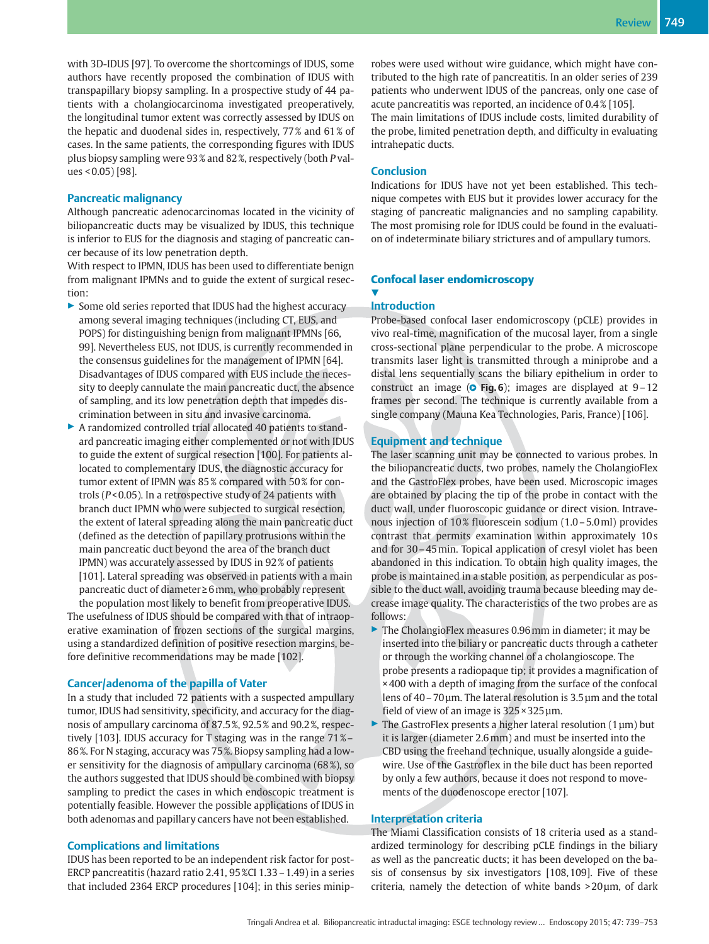with 3D-IDUS [97]. To overcome the shortcomings of IDUS, some authors have recently proposed the combination of IDUS with transpapillary biopsy sampling. In a prospective study of 44 patients with a cholangiocarcinoma investigated preoperatively, the longitudinal tumor extent was correctly assessed by IDUS on the hepatic and duodenal sides in, respectively, 77 % and 61 % of cases. In the same patients, the corresponding figures with IDUS plus biopsy sampling were 93 % and 82 %, respectively (both P values < 0.05) [98].

#### Pancreatic malignancy

Although pancreatic adenocarcinomas located in the vicinity of biliopancreatic ducts may be visualized by IDUS, this technique is inferior to EUS for the diagnosis and staging of pancreatic cancer because of its low penetration depth.

With respect to IPMN, IDUS has been used to differentiate benign from malignant IPMNs and to guide the extent of surgical resection:

- ▶ Some old series reported that IDUS had the highest accuracy among several imaging techniques (including CT, EUS, and POPS) for distinguishing benign from malignant IPMNs [66, 99]. Nevertheless EUS, not IDUS, is currently recommended in the consensus guidelines for the management of IPMN [64]. Disadvantages of IDUS compared with EUS include the necessity to deeply cannulate the main pancreatic duct, the absence of sampling, and its low penetration depth that impedes discrimination between in situ and invasive carcinoma.
- ▶ A randomized controlled trial allocated 40 patients to standard pancreatic imaging either complemented or not with IDUS to guide the extent of surgical resection [100]. For patients allocated to complementary IDUS, the diagnostic accuracy for tumor extent of IPMN was 85% compared with 50% for controls (P< 0.05). In a retrospective study of 24 patients with branch duct IPMN who were subjected to surgical resection, the extent of lateral spreading along the main pancreatic duct (defined as the detection of papillary protrusions within the main pancreatic duct beyond the area of the branch duct IPMN) was accurately assessed by IDUS in 92 % of patients [101]. Lateral spreading was observed in patients with a main pancreatic duct of diameter≥6mm, who probably represent

the population most likely to benefit from preoperative IDUS. The usefulness of IDUS should be compared with that of intraoperative examination of frozen sections of the surgical margins, using a standardized definition of positive resection margins, before definitive recommendations may be made [102].

#### Cancer/adenoma of the papilla of Vater

In a study that included 72 patients with a suspected ampullary tumor, IDUS had sensitivity, specificity, and accuracy for the diagnosis of ampullary carcinoma of 87.5 %, 92.5 % and 90.2 %, respectively [103]. IDUS accuracy for T staging was in the range 71 %– 86 %. For N staging, accuracy was 75 %. Biopsy sampling had a lower sensitivity for the diagnosis of ampullary carcinoma (68 %), so the authors suggested that IDUS should be combined with biopsy sampling to predict the cases in which endoscopic treatment is potentially feasible. However the possible applications of IDUS in both adenomas and papillary cancers have not been established.

#### Complications and limitations

IDUS has been reported to be an independent risk factor for post-ERCP pancreatitis (hazard ratio 2.41, 95 %CI 1.33–1.49) in a series that included 2364 ERCP procedures [104]; in this series miniprobes were used without wire guidance, which might have contributed to the high rate of pancreatitis. In an older series of 239 patients who underwent IDUS of the pancreas, only one case of acute pancreatitis was reported, an incidence of 0.4 % [105]. The main limitations of IDUS include costs, limited durability of the probe, limited penetration depth, and difficulty in evaluating intrahepatic ducts.

#### **Conclusion**

Indications for IDUS have not yet been established. This technique competes with EUS but it provides lower accuracy for the staging of pancreatic malignancies and no sampling capability. The most promising role for IDUS could be found in the evaluation of indeterminate biliary strictures and of ampullary tumors.

#### Confocal laser endomicroscopy <u>V</u>

#### Introduction

Probe-based confocal laser endomicroscopy (pCLE) provides in vivo real-time, magnification of the mucosal layer, from a single cross-sectional plane perpendicular to the probe. A microscope transmits laser light is transmitted through a miniprobe and a distal lens sequentially scans the biliary epithelium in order to construct an image ( $\circ$  Fig. 6); images are displayed at 9-12 frames per second. The technique is currently available from a single company (Mauna Kea Technologies, Paris, France) [106].

### Equipment and technique

The laser scanning unit may be connected to various probes. In the biliopancreatic ducts, two probes, namely the CholangioFlex and the GastroFlex probes, have been used. Microscopic images are obtained by placing the tip of the probe in contact with the duct wall, under fluoroscopic guidance or direct vision. Intravenous injection of 10% fluorescein sodium (1.0 – 5.0 ml) provides contrast that permits examination within approximately 10 s and for 30–45min. Topical application of cresyl violet has been abandoned in this indication. To obtain high quality images, the probe is maintained in a stable position, as perpendicular as possible to the duct wall, avoiding trauma because bleeding may decrease image quality. The characteristics of the two probes are as follows:

- ▶ The CholangioFlex measures 0.96 mm in diameter; it may be inserted into the biliary or pancreatic ducts through a catheter or through the working channel of a cholangioscope. The probe presents a radiopaque tip; it provides a magnification of × 400 with a depth of imaging from the surface of the confocal lens of 40–70 µm. The lateral resolution is 3.5 µm and the total field of view of an image is  $325 \times 325$  µm.
- $\triangleright$  The GastroFlex presents a higher lateral resolution (1 µm) but it is larger (diameter 2.6mm) and must be inserted into the CBD using the freehand technique, usually alongside a guidewire. Use of the Gastroflex in the bile duct has been reported by only a few authors, because it does not respond to movements of the duodenoscope erector [107].

#### Interpretation criteria

The Miami Classification consists of 18 criteria used as a standardized terminology for describing pCLE findings in the biliary as well as the pancreatic ducts; it has been developed on the basis of consensus by six investigators [108, 109]. Five of these criteria, namely the detection of white bands > 20μm, of dark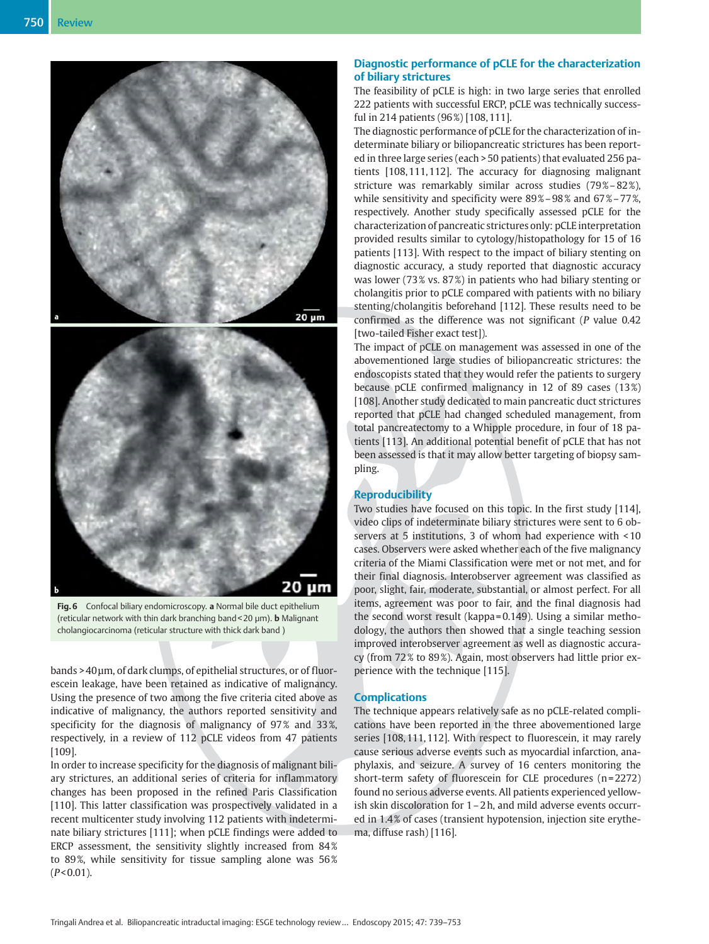



Fig. 6 Confocal biliary endomicroscopy. a Normal bile duct epithelium (reticular network with thin dark branching band < 20  $\mu$ m). **b** Malignant cholangiocarcinoma (reticular structure with thick dark band )

bands > 40μm, of dark clumps, of epithelial structures, or of fluorescein leakage, have been retained as indicative of malignancy. Using the presence of two among the five criteria cited above as indicative of malignancy, the authors reported sensitivity and specificity for the diagnosis of malignancy of 97% and 33%, respectively, in a review of 112 pCLE videos from 47 patients [109].

In order to increase specificity for the diagnosis of malignant biliary strictures, an additional series of criteria for inflammatory changes has been proposed in the refined Paris Classification [110]. This latter classification was prospectively validated in a recent multicenter study involving 112 patients with indeterminate biliary strictures [111]; when pCLE findings were added to ERCP assessment, the sensitivity slightly increased from 84% to 89%, while sensitivity for tissue sampling alone was 56%  $(P< 0.01)$ .

# Diagnostic performance of pCLE for the characterization of biliary strictures

The feasibility of pCLE is high: in two large series that enrolled 222 patients with successful ERCP, pCLE was technically successful in 214 patients (96 %) [108, 111].

The diagnostic performance of pCLE for the characterization of indeterminate biliary or biliopancreatic strictures has been reported in three large series (each > 50 patients) that evaluated 256 patients [108, 111, 112]. The accuracy for diagnosing malignant stricture was remarkably similar across studies (79%-82%), while sensitivity and specificity were 89%-98% and 67%-77%, respectively. Another study specifically assessed pCLE for the characterization of pancreatic strictures only: pCLE interpretation provided results similar to cytology/histopathology for 15 of 16 patients [113]. With respect to the impact of biliary stenting on diagnostic accuracy, a study reported that diagnostic accuracy was lower (73 % vs. 87 %) in patients who had biliary stenting or cholangitis prior to pCLE compared with patients with no biliary stenting/cholangitis beforehand [112]. These results need to be confirmed as the difference was not significant (P value 0.42 [two-tailed Fisher exact test]).

The impact of pCLE on management was assessed in one of the abovementioned large studies of biliopancreatic strictures: the endoscopists stated that they would refer the patients to surgery because pCLE confirmed malignancy in 12 of 89 cases (13 %) [108]. Another study dedicated to main pancreatic duct strictures reported that pCLE had changed scheduled management, from total pancreatectomy to a Whipple procedure, in four of 18 patients [113]. An additional potential benefit of pCLE that has not been assessed is that it may allow better targeting of biopsy sampling.

# Reproducibility

Two studies have focused on this topic. In the first study [114], video clips of indeterminate biliary strictures were sent to 6 observers at 5 institutions, 3 of whom had experience with < 10 cases. Observers were asked whether each of the five malignancy criteria of the Miami Classification were met or not met, and for their final diagnosis. Interobserver agreement was classified as poor, slight, fair, moderate, substantial, or almost perfect. For all items, agreement was poor to fair, and the final diagnosis had the second worst result (kappa = 0.149). Using a similar methodology, the authors then showed that a single teaching session improved interobserver agreement as well as diagnostic accuracy (from 72 % to 89 %). Again, most observers had little prior experience with the technique [115].

#### **Complications**

The technique appears relatively safe as no pCLE-related complications have been reported in the three abovementioned large series [108, 111, 112]. With respect to fluorescein, it may rarely cause serious adverse events such as myocardial infarction, anaphylaxis, and seizure. A survey of 16 centers monitoring the short-term safety of fluorescein for CLE procedures (n=2272) found no serious adverse events. All patients experienced yellowish skin discoloration for 1–2 h, and mild adverse events occurred in 1.4 % of cases (transient hypotension, injection site erythema, diffuse rash) [116].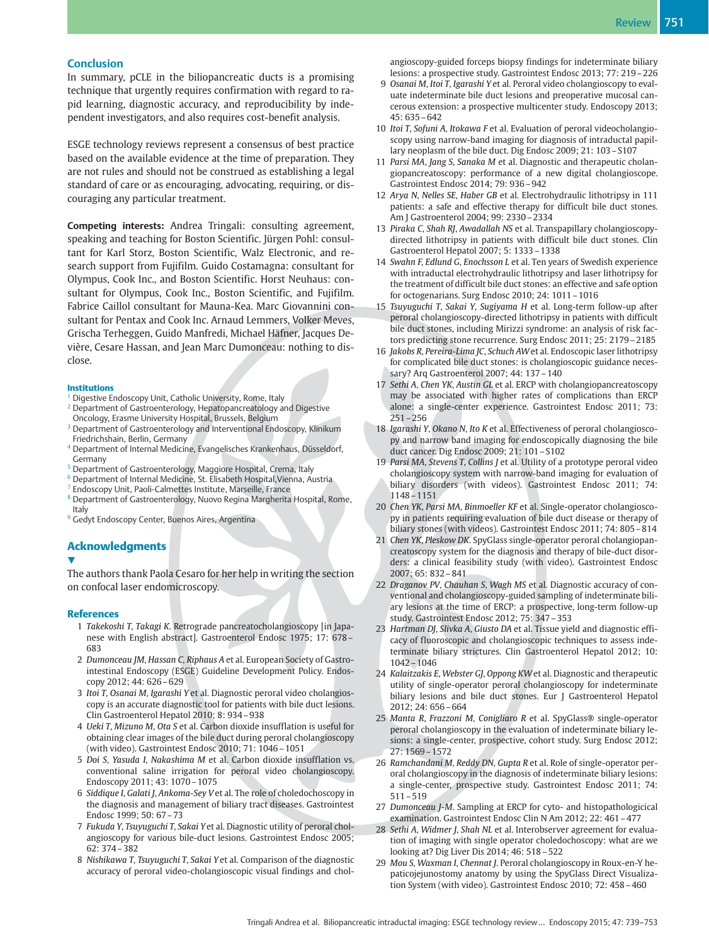#### **Conclusion**

In summary, pCLE in the biliopancreatic ducts is a promising technique that urgently requires confirmation with regard to rapid learning, diagnostic accuracy, and reproducibility by independent investigators, and also requires cost-benefit analysis.

ESGE technology reviews represent a consensus of best practice based on the available evidence at the time of preparation. They are not rules and should not be construed as establishing a legal standard of care or as encouraging, advocating, requiring, or discouraging any particular treatment.

Competing interests: Andrea Tringali: consulting agreement, speaking and teaching for Boston Scientific. Jürgen Pohl: consultant for Karl Storz, Boston Scientific, Walz Electronic, and research support from Fujifilm. Guido Costamagna: consultant for Olympus, Cook Inc., and Boston Scientific. Horst Neuhaus: consultant for Olympus, Cook Inc., Boston Scientific, and Fujifilm. Fabrice Caillol consultant for Mauna-Kea. Marc Giovannini consultant for Pentax and Cook Inc. Arnaud Lemmers, Volker Meves, Grischa Terheggen, Guido Manfredi, Michael Häfner, Jacques Devière, Cesare Hassan, and Jean Marc Dumonceau: nothing to disclose.

#### **Institutions**

- <sup>1</sup> Digestive Endoscopy Unit, Catholic University, Rome, Italy
- <sup>2</sup> Department of Gastroenterology, Hepatopancreatology and Digestive Oncology, Erasme University Hospital, Brussels, Belgium
- <sup>3</sup> Department of Gastroenterology and Interventional Endoscopy, Klinikum Friedrichshain, Berlin, Germany
- <sup>4</sup> Department of Internal Medicine, Evangelisches Krankenhaus, Düsseldorf, Germany
- <sup>5</sup> Department of Gastroenterology, Maggiore Hospital, Crema, Italy
- <sup>6</sup> Department of Internal Medicine, St. Elisabeth Hospital, Vienna, Austria
- <sup>7</sup> Endoscopy Unit, Paoli-Calmettes Institute, Marseille, France
- <sup>8</sup> Department of Gastroenterology, Nuovo Regina Margherita Hospital, Rome, Italy
- <sup>9</sup> Gedyt Endoscopy Center, Buenos Aires, Argentina

#### Acknowledgments

#### V,

The authors thank Paola Cesaro for her help in writing the section on confocal laser endomicroscopy.

#### References

- 1 Takekoshi T, Takagi K. Retrograde pancreatocholangioscopy [in Japanese with English abstract]. Gastroenterol Endosc 1975; 17: 678– 683
- 2 Dumonceau JM, Hassan C, Riphaus A et al. European Society of Gastrointestinal Endoscopy (ESGE) Guideline Development Policy. Endoscopy 2012; 44: 626–629
- 3 Itoi T, Osanai M, Igarashi Y et al. Diagnostic peroral video cholangioscopy is an accurate diagnostic tool for patients with bile duct lesions. Clin Gastroenterol Hepatol 2010; 8: 934–938
- 4 Ueki T, Mizuno M, Ota S et al. Carbon dioxide insufflation is useful for obtaining clear images of the bile duct during peroral cholangioscopy (with video). Gastrointest Endosc 2010; 71: 1046–1051
- 5 Doi S, Yasuda I, Nakashima M et al. Carbon dioxide insufflation vs. conventional saline irrigation for peroral video cholangioscopy. Endoscopy 2011; 43: 1070–1075
- 6 Siddique I, Galati J, Ankoma-Sey V et al. The role of choledochoscopy in the diagnosis and management of biliary tract diseases. Gastrointest Endosc 1999; 50: 67–73
- 7 Fukuda Y, Tsuyuguchi T, Sakai Y et al. Diagnostic utility of peroral cholangioscopy for various bile-duct lesions. Gastrointest Endosc 2005; 62: 374–382
- 8 Nishikawa T, Tsuyuguchi T, Sakai Y et al. Comparison of the diagnostic accuracy of peroral video-cholangioscopic visual findings and chol-

angioscopy-guided forceps biopsy findings for indeterminate biliary lesions: a prospective study. Gastrointest Endosc 2013; 77: 219–226

- 9 Osanai M, Itoi T, Igarashi Y et al. Peroral video cholangioscopy to evaluate indeterminate bile duct lesions and preoperative mucosal cancerous extension: a prospective multicenter study. Endoscopy 2013;  $45: 635 - 642$
- 10 Itoi T, Sofuni A, Itokawa F et al. Evaluation of peroral videocholangioscopy using narrow-band imaging for diagnosis of intraductal papillary neoplasm of the bile duct. Dig Endosc 2009; 21: 103–S107
- 11 Parsi MA, Jang S, Sanaka M et al. Diagnostic and therapeutic cholangiopancreatoscopy: performance of a new digital cholangioscope. Gastrointest Endosc 2014; 79: 936–942
- 12 Arya N, Nelles SE, Haber GB et al. Electrohydraulic lithotripsy in 111 patients: a safe and effective therapy for difficult bile duct stones. Am J Gastroenterol 2004; 99: 2330–2334
- 13 Piraka C, Shah RJ, Awadallah NS et al. Transpapillary cholangioscopydirected lithotripsy in patients with difficult bile duct stones. Clin Gastroenterol Hepatol 2007; 5: 1333–1338
- 14 Swahn F, Edlund G, Enochsson L et al. Ten years of Swedish experience with intraductal electrohydraulic lithotripsy and laser lithotripsy for the treatment of difficult bile duct stones: an effective and safe option for octogenarians. Surg Endosc 2010; 24: 1011–1016
- 15 Tsuyuguchi T, Sakai Y, Sugiyama H et al. Long-term follow-up after peroral cholangioscopy-directed lithotripsy in patients with difficult bile duct stones, including Mirizzi syndrome: an analysis of risk factors predicting stone recurrence. Surg Endosc 2011; 25: 2179–2185
- 16 Jakobs R, Pereira-Lima JC, Schuch AWet al. Endoscopic laser lithotripsy for complicated bile duct stones: is cholangioscopic guidance necessary? Arq Gastroenterol 2007; 44: 137–140
- 17 Sethi A, Chen YK, Austin GL et al. ERCP with cholangiopancreatoscopy may be associated with higher rates of complications than ERCP alone: a single-center experience. Gastrointest Endosc 2011; 73: 251–256
- 18 Igarashi Y, Okano N, Ito K et al. Effectiveness of peroral cholangioscopy and narrow band imaging for endoscopically diagnosing the bile duct cancer. Dig Endosc 2009; 21: 101–S102
- 19 Parsi MA, Stevens T, Collins J et al. Utility of a prototype peroral video cholangioscopy system with narrow-band imaging for evaluation of biliary disorders (with videos). Gastrointest Endosc 2011; 74: 1148–1151
- 20 Chen YK, Parsi MA, Binmoeller KF et al. Single-operator cholangioscopy in patients requiring evaluation of bile duct disease or therapy of biliary stones (with videos). Gastrointest Endosc 2011; 74: 805–814
- 21 Chen YK, Pleskow DK. SpyGlass single-operator peroral cholangiopancreatoscopy system for the diagnosis and therapy of bile-duct disorders: a clinical feasibility study (with video). Gastrointest Endosc 2007; 65: 832–841
- 22 Draganov PV, Chauhan S, Wagh MS et al. Diagnostic accuracy of conventional and cholangioscopy-guided sampling of indeterminate biliary lesions at the time of ERCP: a prospective, long-term follow-up study. Gastrointest Endosc 2012; 75: 347–353
- 23 Hartman DJ, Slivka A, Giusto DA et al. Tissue yield and diagnostic efficacy of fluoroscopic and cholangioscopic techniques to assess indeterminate biliary strictures. Clin Gastroenterol Hepatol 2012; 10: 1042–1046
- 24 Kalaitzakis E, Webster GJ, Oppong KW et al. Diagnostic and therapeutic utility of single-operator peroral cholangioscopy for indeterminate biliary lesions and bile duct stones. Eur J Gastroenterol Hepatol 2012; 24: 656–664
- 25 Manta R, Frazzoni M, Conigliaro R et al. SpyGlass® single-operator peroral cholangioscopy in the evaluation of indeterminate biliary lesions: a single-center, prospective, cohort study. Surg Endosc 2012; 27: 1569–1572
- 26 Ramchandani M, Reddy DN, Gupta R et al. Role of single-operator peroral cholangioscopy in the diagnosis of indeterminate biliary lesions: a single-center, prospective study. Gastrointest Endosc 2011; 74: 511–519
- 27 Dumonceau J-M. Sampling at ERCP for cyto- and histopathologicical examination. Gastrointest Endosc Clin N Am 2012; 22: 461–477
- 28 Sethi A, Widmer J, Shah NL et al. Interobserver agreement for evaluation of imaging with single operator choledochoscopy: what are we looking at? Dig Liver Dis 2014; 46: 518–522
- 29 Mou S, Waxman I, Chennat J. Peroral cholangioscopy in Roux-en-Y hepaticojejunostomy anatomy by using the SpyGlass Direct Visualization System (with video). Gastrointest Endosc 2010; 72: 458–460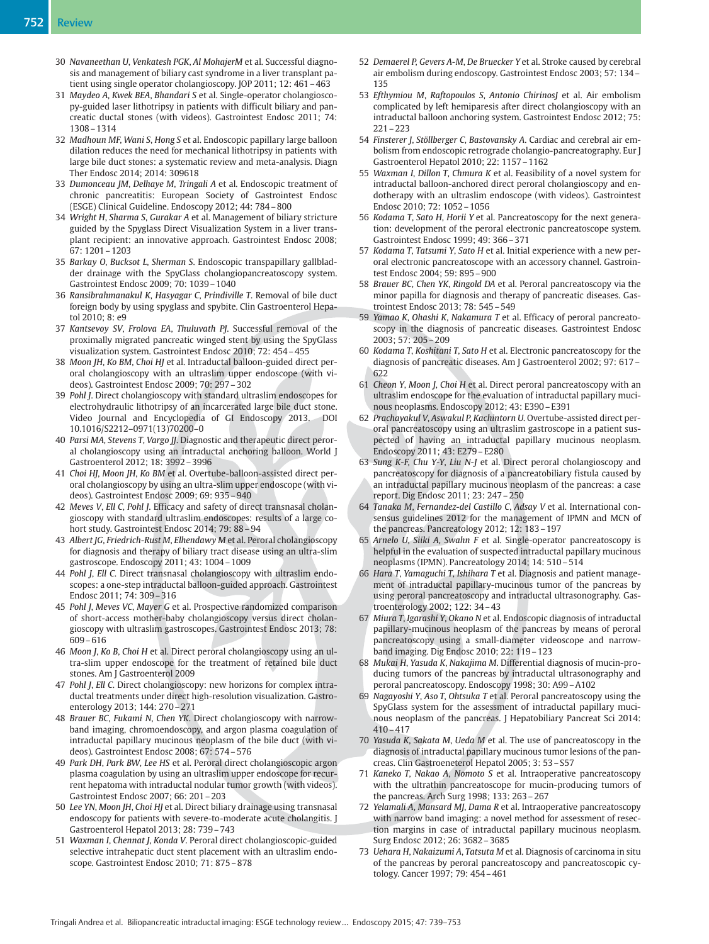- 30 Navaneethan U, Venkatesh PGK, Al MohajerM et al. Successful diagnosis and management of biliary cast syndrome in a liver transplant patient using single operator cholangioscopy. JOP 2011; 12: 461–463
- 31 Maydeo A, Kwek BEA, Bhandari S et al. Single-operator cholangioscopy-guided laser lithotripsy in patients with difficult biliary and pancreatic ductal stones (with videos). Gastrointest Endosc 2011; 74: 1308–1314
- 32 Madhoun MF, Wani S, Hong S et al. Endoscopic papillary large balloon dilation reduces the need for mechanical lithotripsy in patients with large bile duct stones: a systematic review and meta-analysis. Diagn Ther Endosc 2014; 2014: 309618
- 33 Dumonceau JM, Delhaye M, Tringali A et al. Endoscopic treatment of chronic pancreatitis: European Society of Gastrointest Endosc (ESGE) Clinical Guideline. Endoscopy 2012; 44: 784–800
- 34 Wright H, Sharma S, Gurakar A et al. Management of biliary stricture guided by the Spyglass Direct Visualization System in a liver transplant recipient: an innovative approach. Gastrointest Endosc 2008; 67: 1201–1203
- 35 Barkay O, Bucksot L, Sherman S. Endoscopic transpapillary gallbladder drainage with the SpyGlass cholangiopancreatoscopy system. Gastrointest Endosc 2009; 70: 1039–1040
- 36 Ransibrahmanakul K, Hasyagar C, Prindiville T. Removal of bile duct foreign body by using spyglass and spybite. Clin Gastroenterol Hepatol 2010; 8: e9
- 37 Kantsevoy SV, Frolova EA, Thuluvath PJ. Successful removal of the proximally migrated pancreatic winged stent by using the SpyGlass visualization system. Gastrointest Endosc 2010; 72: 454–455
- 38 Moon JH, Ko BM, Choi HJ et al. Intraductal balloon-guided direct peroral cholangioscopy with an ultraslim upper endoscope (with videos). Gastrointest Endosc 2009; 70: 297–302
- 39 Pohl J. Direct cholangioscopy with standard ultraslim endoscopes for electrohydraulic lithotripsy of an incarcerated large bile duct stone. Video Journal and Encyclopedia of GI Endoscopy 2013. DOI 10.1016/S2212–0971(13)70200–0
- 40 Parsi MA, Stevens T, Vargo JJ. Diagnostic and therapeutic direct peroral cholangioscopy using an intraductal anchoring balloon. World J Gastroenterol 2012; 18: 3992–3996
- 41 Choi HJ, Moon JH, Ko BM et al. Overtube-balloon-assisted direct peroral cholangioscopy by using an ultra-slim upper endoscope (with videos). Gastrointest Endosc 2009; 69: 935–940
- 42 Meves V, Ell C, Pohl J. Efficacy and safety of direct transnasal cholangioscopy with standard ultraslim endoscopes: results of a large cohort study. Gastrointest Endosc 2014; 79: 88–94
- 43 Albert JG, Friedrich-Rust M, Elhendawy M et al. Peroral cholangioscopy for diagnosis and therapy of biliary tract disease using an ultra-slim gastroscope. Endoscopy 2011; 43: 1004–1009
- 44 Pohl J, Ell C. Direct transnasal cholangioscopy with ultraslim endoscopes: a one-step intraductal balloon-guided approach. Gastrointest Endosc 2011; 74: 309–316
- 45 Pohl J, Meves VC, Mayer G et al. Prospective randomized comparison of short-access mother-baby cholangioscopy versus direct cholangioscopy with ultraslim gastroscopes. Gastrointest Endosc 2013; 78: 609–616
- 46 Moon J, Ko B, Choi H et al. Direct peroral cholangioscopy using an ultra-slim upper endoscope for the treatment of retained bile duct stones. Am J Gastroenterol 2009
- 47 Pohl J, Ell C. Direct cholangioscopy: new horizons for complex intraductal treatments under direct high-resolution visualization. Gastroenterology 2013; 144: 270–271
- 48 Brauer BC, Fukami N, Chen YK. Direct cholangioscopy with narrowband imaging, chromoendoscopy, and argon plasma coagulation of intraductal papillary mucinous neoplasm of the bile duct (with videos). Gastrointest Endosc 2008; 67: 574–576
- 49 Park DH, Park BW, Lee HS et al. Peroral direct cholangioscopic argon plasma coagulation by using an ultraslim upper endoscope for recurrent hepatoma with intraductal nodular tumor growth (with videos). Gastrointest Endosc 2007; 66: 201–203
- 50 Lee YN, Moon JH, Choi HJ et al. Direct biliary drainage using transnasal endoscopy for patients with severe-to-moderate acute cholangitis. J Gastroenterol Hepatol 2013; 28: 739–743
- 51 Waxman I, Chennat J, Konda V. Peroral direct cholangioscopic-guided selective intrahepatic duct stent placement with an ultraslim endoscope. Gastrointest Endosc 2010; 71: 875–878
- 52 Demaerel P, Gevers A-M, De Bruecker Y et al. Stroke caused by cerebral air embolism during endoscopy. Gastrointest Endosc 2003; 57: 134– 135
- 53 Efthymiou M, Raftopoulos S, Antonio ChirinosJ et al. Air embolism complicated by left hemiparesis after direct cholangioscopy with an intraductal balloon anchoring system. Gastrointest Endosc 2012; 75: 221–223
- 54 Finsterer J, Stöllberger C, Bastovansky A. Cardiac and cerebral air embolism from endoscopic retrograde cholangio-pancreatography. Eur J Gastroenterol Hepatol 2010; 22: 1157–1162
- 55 Waxman I, Dillon T, Chmura K et al. Feasibility of a novel system for intraductal balloon-anchored direct peroral cholangioscopy and endotherapy with an ultraslim endoscope (with videos). Gastrointest Endosc 2010; 72: 1052–1056
- 56 Kodama T, Sato H, Horii Y et al. Pancreatoscopy for the next generation: development of the peroral electronic pancreatoscope system. Gastrointest Endosc 1999; 49: 366–371
- 57 Kodama T, Tatsumi Y, Sato H et al. Initial experience with a new peroral electronic pancreatoscope with an accessory channel. Gastrointest Endosc 2004; 59: 895–900
- 58 Brauer BC, Chen YK, Ringold DA et al. Peroral pancreatoscopy via the minor papilla for diagnosis and therapy of pancreatic diseases. Gastrointest Endosc 2013; 78: 545–549
- 59 Yamao K, Ohashi K, Nakamura T et al. Efficacy of peroral pancreatoscopy in the diagnosis of pancreatic diseases. Gastrointest Endosc 2003; 57: 205–209
- 60 Kodama T, Koshitani T, Sato H et al. Electronic pancreatoscopy for the diagnosis of pancreatic diseases. Am J Gastroenterol 2002; 97: 617– 622
- 61 Cheon Y, Moon J, Choi H et al. Direct peroral pancreatoscopy with an ultraslim endoscope for the evaluation of intraductal papillary mucinous neoplasms. Endoscopy 2012; 43: E390–E391
- 62 Prachayakul V, Aswakul P, Kachintorn U. Overtube-assisted direct peroral pancreatoscopy using an ultraslim gastroscope in a patient suspected of having an intraductal papillary mucinous neoplasm. Endoscopy 2011; 43: E279–E280
- 63 Sung K-F, Chu Y-Y, Liu N-J et al. Direct peroral cholangioscopy and pancreatoscopy for diagnosis of a pancreatobiliary fistula caused by an intraductal papillary mucinous neoplasm of the pancreas: a case report. Dig Endosc 2011; 23: 247–250
- 64 Tanaka M, Fernandez-del Castillo C, Adsay V et al. International consensus guidelines 2012 for the management of IPMN and MCN of the pancreas. Pancreatology 2012; 12: 183–197
- 65 Arnelo U, Siiki A, Swahn F et al. Single-operator pancreatoscopy is helpful in the evaluation of suspected intraductal papillary mucinous neoplasms (IPMN). Pancreatology 2014; 14: 510–514
- 66 Hara T, Yamaguchi T, Ishihara T et al. Diagnosis and patient management of intraductal papillary-mucinous tumor of the pancreas by using peroral pancreatoscopy and intraductal ultrasonography. Gastroenterology 2002; 122: 34–43
- 67 Miura T, Igarashi Y, Okano N et al. Endoscopic diagnosis of intraductal papillary-mucinous neoplasm of the pancreas by means of peroral pancreatoscopy using a small-diameter videoscope and narrowband imaging. Dig Endosc 2010; 22: 119–123
- 68 Mukai H, Yasuda K, Nakajima M. Differential diagnosis of mucin-producing tumors of the pancreas by intraductal ultrasonography and peroral pancreatoscopy. Endoscopy 1998; 30: A99–A102
- 69 Nagayoshi Y, Aso T, Ohtsuka T et al. Peroral pancreatoscopy using the SpyGlass system for the assessment of intraductal papillary mucinous neoplasm of the pancreas. J Hepatobiliary Pancreat Sci 2014: 410–417
- 70 Yasuda K, Sakata M, Ueda M et al. The use of pancreatoscopy in the diagnosis of intraductal papillary mucinous tumor lesions of the pancreas. Clin Gastroeneterol Hepatol 2005; 3: 53–S57
- 71 Kaneko T, Nakao A, Nomoto S et al. Intraoperative pancreatoscopy with the ultrathin pancreatoscope for mucin-producing tumors of the pancreas. Arch Surg 1998; 133: 263–267
- 72 Yelamali A, Mansard MJ, Dama R et al. Intraoperative pancreatoscopy with narrow band imaging: a novel method for assessment of resection margins in case of intraductal papillary mucinous neoplasm. Surg Endosc 2012; 26: 3682–3685
- 73 Uehara H, Nakaizumi A, Tatsuta M et al. Diagnosis of carcinoma in situ of the pancreas by peroral pancreatoscopy and pancreatoscopic cytology. Cancer 1997; 79: 454–461